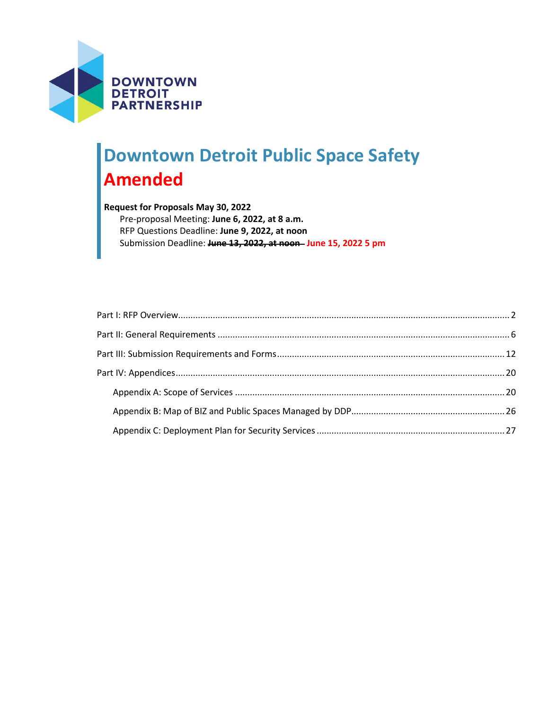

# **Downtown Detroit Public Space Safety Amended**

## **Request for Proposals May 30, 2022** Pre-proposal Meeting: **June 6, 2022, at 8 a.m.** RFP Questions Deadline: **June 9, 2022, at noon** Submission Deadline: **June 13, 2022, at noon June 15, 2022 5 pm**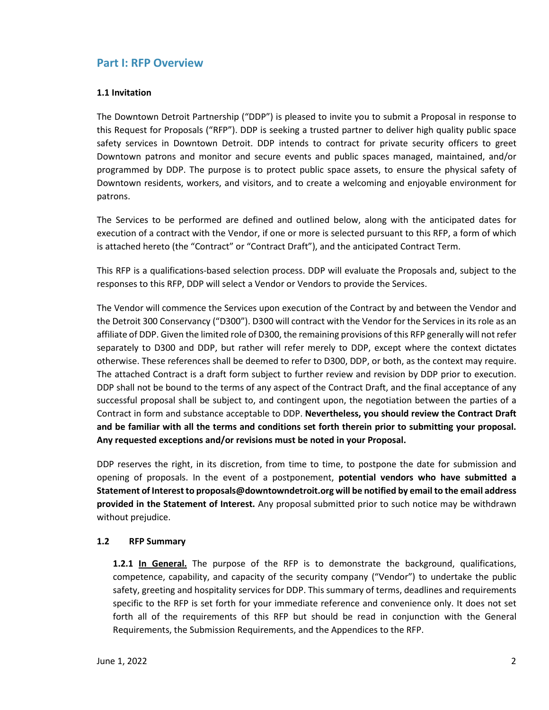# <span id="page-1-0"></span>**Part I: RFP Overview**

#### **1.1 Invitation**

The Downtown Detroit Partnership ("DDP") is pleased to invite you to submit a Proposal in response to this Request for Proposals ("RFP"). DDP is seeking a trusted partner to deliver high quality public space safety services in Downtown Detroit. DDP intends to contract for private security officers to greet Downtown patrons and monitor and secure events and public spaces managed, maintained, and/or programmed by DDP. The purpose is to protect public space assets, to ensure the physical safety of Downtown residents, workers, and visitors, and to create a welcoming and enjoyable environment for patrons.

The Services to be performed are defined and outlined below, along with the anticipated dates for execution of a contract with the Vendor, if one or more is selected pursuant to this RFP, a form of which is attached hereto (the "Contract" or "Contract Draft"), and the anticipated Contract Term.

This RFP is a qualifications-based selection process. DDP will evaluate the Proposals and, subject to the responses to this RFP, DDP will select a Vendor or Vendors to provide the Services.

The Vendor will commence the Services upon execution of the Contract by and between the Vendor and the Detroit 300 Conservancy ("D300"). D300 will contract with the Vendor for the Services in its role as an affiliate of DDP. Given the limited role of D300, the remaining provisions of this RFP generally will not refer separately to D300 and DDP, but rather will refer merely to DDP, except where the context dictates otherwise. These references shall be deemed to refer to D300, DDP, or both, as the context may require. The attached Contract is a draft form subject to further review and revision by DDP prior to execution. DDP shall not be bound to the terms of any aspect of the Contract Draft, and the final acceptance of any successful proposal shall be subject to, and contingent upon, the negotiation between the parties of a Contract in form and substance acceptable to DDP. **Nevertheless, you should review the Contract Draft and be familiar with all the terms and conditions set forth therein prior to submitting your proposal. Any requested exceptions and/or revisions must be noted in your Proposal.**

DDP reserves the right, in its discretion, from time to time, to postpone the date for submission and opening of proposals. In the event of a postponement, **potential vendors who have submitted a Statement of Interest to proposals@downtowndetroit.org will be notified by email to the email address provided in the Statement of Interest.** Any proposal submitted prior to such notice may be withdrawn without prejudice.

#### **1.2 RFP Summary**

**1.2.1 In General.** The purpose of the RFP is to demonstrate the background, qualifications, competence, capability, and capacity of the security company ("Vendor") to undertake the public safety, greeting and hospitality services for DDP. This summary of terms, deadlines and requirements specific to the RFP is set forth for your immediate reference and convenience only. It does not set forth all of the requirements of this RFP but should be read in conjunction with the General Requirements, the Submission Requirements, and the Appendices to the RFP.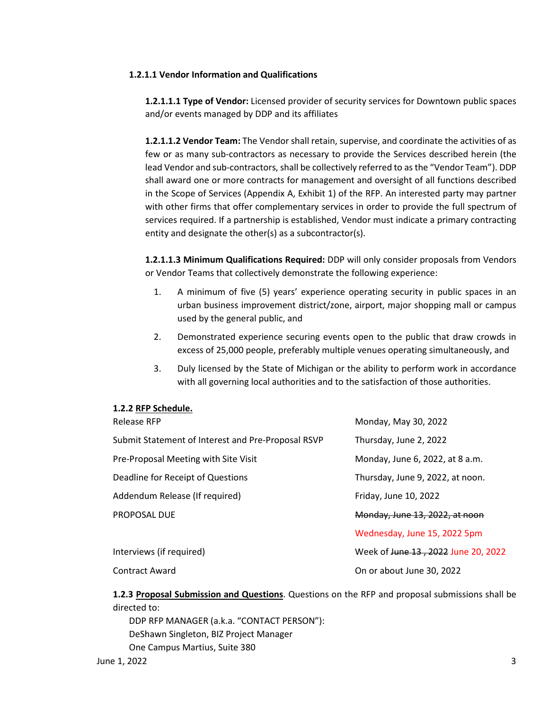### **1.2.1.1 Vendor Information and Qualifications**

**1.2.1.1.1 Type of Vendor:** Licensed provider of security services for Downtown public spaces and/or events managed by DDP and its affiliates

**1.2.1.1.2 Vendor Team:** The Vendor shall retain, supervise, and coordinate the activities of as few or as many sub-contractors as necessary to provide the Services described herein (the lead Vendor and sub-contractors, shall be collectively referred to as the "Vendor Team"). DDP shall award one or more contracts for management and oversight of all functions described in the Scope of Services (Appendix A, Exhibit 1) of the RFP. An interested party may partner with other firms that offer complementary services in order to provide the full spectrum of services required. If a partnership is established, Vendor must indicate a primary contracting entity and designate the other(s) as a subcontractor(s).

**1.2.1.1.3 Minimum Qualifications Required:** DDP will only consider proposals from Vendors or Vendor Teams that collectively demonstrate the following experience:

- 1. A minimum of five (5) years' experience operating security in public spaces in an urban business improvement district/zone, airport, major shopping mall or campus used by the general public, and
- 2. Demonstrated experience securing events open to the public that draw crowds in excess of 25,000 people, preferably multiple venues operating simultaneously, and
- 3. Duly licensed by the State of Michigan or the ability to perform work in accordance with all governing local authorities and to the satisfaction of those authorities.

#### **1.2.2 RFP Schedule.**

| <b>Release RFP</b>                                 | Monday, May 30, 2022                |
|----------------------------------------------------|-------------------------------------|
| Submit Statement of Interest and Pre-Proposal RSVP | Thursday, June 2, 2022              |
| Pre-Proposal Meeting with Site Visit               | Monday, June 6, 2022, at 8 a.m.     |
| Deadline for Receipt of Questions                  | Thursday, June 9, 2022, at noon.    |
| Addendum Release (If required)                     | Friday, June 10, 2022               |
| PROPOSAL DUE                                       | Monday, June 13, 2022, at noon      |
|                                                    | Wednesday, June 15, 2022 5pm        |
| Interviews (if required)                           | Week of June 13, 2022 June 20, 2022 |
| <b>Contract Award</b>                              | On or about June 30, 2022           |

**1.2.3 Proposal Submission and Questions**. Questions on the RFP and proposal submissions shall be directed to:

DDP RFP MANAGER (a.k.a. "CONTACT PERSON"): DeShawn Singleton, BIZ Project Manager One Campus Martius, Suite 380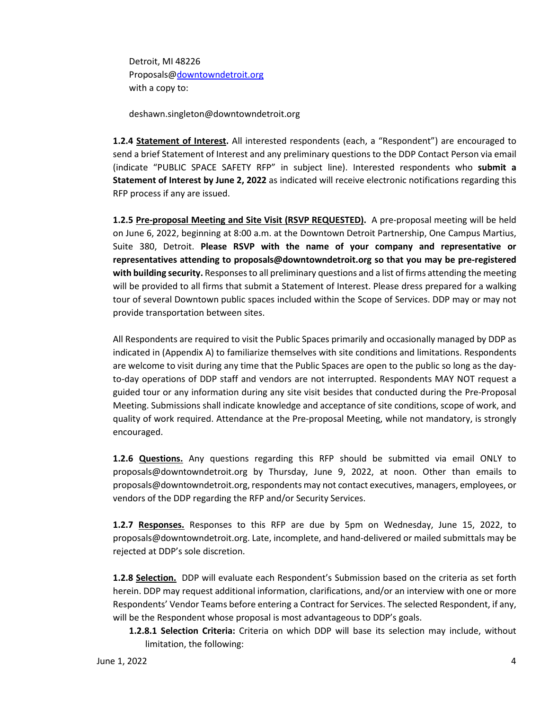Detroit, MI 48226 [Proposals@downtowndetroit.org](mailto:deshawn.singleton@downtowndetroit.org) with a copy to:

deshawn.singleton@downtowndetroit.org

**1.2.4 Statement of Interest.** All interested respondents (each, a "Respondent") are encouraged to send a brief Statement of Interest and any preliminary questions to the DDP Contact Person via email (indicate "PUBLIC SPACE SAFETY RFP" in subject line). Interested respondents who **submit a Statement of Interest by June 2, 2022** as indicated will receive electronic notifications regarding this RFP process if any are issued.

**1.2.5 Pre-proposal Meeting and Site Visit (RSVP REQUESTED).** A pre-proposal meeting will be held on June 6, 2022, beginning at 8:00 a.m. at the Downtown Detroit Partnership, One Campus Martius, Suite 380, Detroit. **Please RSVP with the name of your company and representative or representatives attending to proposals@downtowndetroit.org so that you may be pre-registered with building security.** Responses to all preliminary questions and a list of firms attending the meeting will be provided to all firms that submit a Statement of Interest. Please dress prepared for a walking tour of several Downtown public spaces included within the Scope of Services. DDP may or may not provide transportation between sites.

All Respondents are required to visit the Public Spaces primarily and occasionally managed by DDP as indicated in (Appendix A) to familiarize themselves with site conditions and limitations. Respondents are welcome to visit during any time that the Public Spaces are open to the public so long as the dayto-day operations of DDP staff and vendors are not interrupted. Respondents MAY NOT request a guided tour or any information during any site visit besides that conducted during the Pre-Proposal Meeting. Submissions shall indicate knowledge and acceptance of site conditions, scope of work, and quality of work required. Attendance at the Pre-proposal Meeting, while not mandatory, is strongly encouraged.

**1.2.6 Questions.** Any questions regarding this RFP should be submitted via email ONLY to proposals@downtowndetroit.org by Thursday, June 9, 2022, at noon. Other than emails to proposals@downtowndetroit.org, respondents may not contact executives, managers, employees, or vendors of the DDP regarding the RFP and/or Security Services.

**1.2.7 Responses.** Responses to this RFP are due by 5pm on Wednesday, June 15, 2022, to proposals@downtowndetroit.org. Late, incomplete, and hand-delivered or mailed submittals may be rejected at DDP's sole discretion.

**1.2.8 Selection.** DDP will evaluate each Respondent's Submission based on the criteria as set forth herein. DDP may request additional information, clarifications, and/or an interview with one or more Respondents' Vendor Teams before entering a Contract for Services. The selected Respondent, if any, will be the Respondent whose proposal is most advantageous to DDP's goals.

**1.2.8.1 Selection Criteria:** Criteria on which DDP will base its selection may include, without limitation, the following: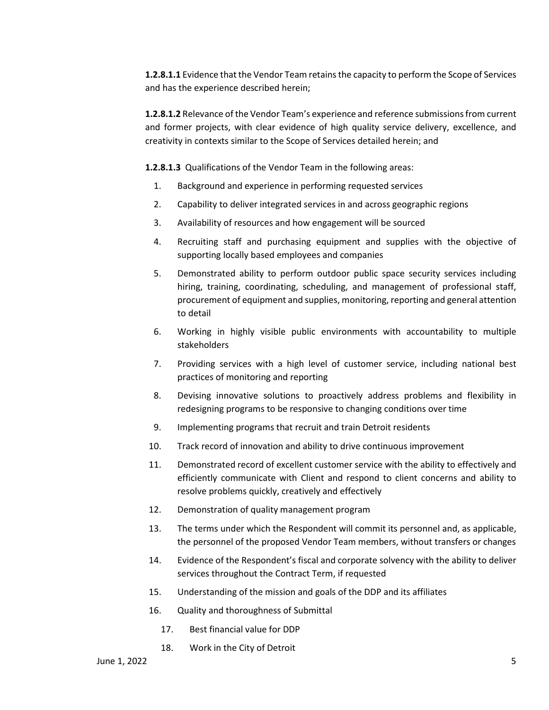**1.2.8.1.1** Evidence that the Vendor Team retains the capacity to perform the Scope of Services and has the experience described herein;

**1.2.8.1.2** Relevance of the Vendor Team's experience and reference submissions from current and former projects, with clear evidence of high quality service delivery, excellence, and creativity in contexts similar to the Scope of Services detailed herein; and

**1.2.8.1.3** Qualifications of the Vendor Team in the following areas:

- 1. Background and experience in performing requested services
- 2. Capability to deliver integrated services in and across geographic regions
- 3. Availability of resources and how engagement will be sourced
- 4. Recruiting staff and purchasing equipment and supplies with the objective of supporting locally based employees and companies
- 5. Demonstrated ability to perform outdoor public space security services including hiring, training, coordinating, scheduling, and management of professional staff, procurement of equipment and supplies, monitoring, reporting and general attention to detail
- 6. Working in highly visible public environments with accountability to multiple stakeholders
- 7. Providing services with a high level of customer service, including national best practices of monitoring and reporting
- 8. Devising innovative solutions to proactively address problems and flexibility in redesigning programs to be responsive to changing conditions over time
- 9. Implementing programs that recruit and train Detroit residents
- 10. Track record of innovation and ability to drive continuous improvement
- 11. Demonstrated record of excellent customer service with the ability to effectively and efficiently communicate with Client and respond to client concerns and ability to resolve problems quickly, creatively and effectively
- 12. Demonstration of quality management program
- 13. The terms under which the Respondent will commit its personnel and, as applicable, the personnel of the proposed Vendor Team members, without transfers or changes
- 14. Evidence of the Respondent's fiscal and corporate solvency with the ability to deliver services throughout the Contract Term, if requested
- 15. Understanding of the mission and goals of the DDP and its affiliates
- 16. Quality and thoroughness of Submittal
	- 17. Best financial value for DDP
	- 18. Work in the City of Detroit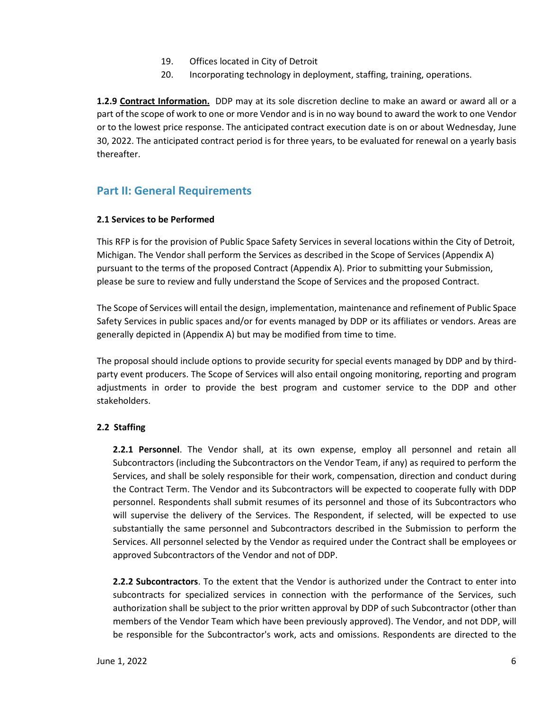- 19. Offices located in City of Detroit
- 20. Incorporating technology in deployment, staffing, training, operations.

**1.2.9 Contract Information.** DDP may at its sole discretion decline to make an award or award all or a part of the scope of work to one or more Vendor and is in no way bound to award the work to one Vendor or to the lowest price response. The anticipated contract execution date is on or about Wednesday, June 30, 2022. The anticipated contract period is for three years, to be evaluated for renewal on a yearly basis thereafter.

# <span id="page-5-0"></span>**Part II: General Requirements**

## **2.1 Services to be Performed**

This RFP is for the provision of Public Space Safety Services in several locations within the City of Detroit, Michigan. The Vendor shall perform the Services as described in the Scope of Services (Appendix A) pursuant to the terms of the proposed Contract (Appendix A). Prior to submitting your Submission, please be sure to review and fully understand the Scope of Services and the proposed Contract.

The Scope of Services will entail the design, implementation, maintenance and refinement of Public Space Safety Services in public spaces and/or for events managed by DDP or its affiliates or vendors. Areas are generally depicted in (Appendix A) but may be modified from time to time.

The proposal should include options to provide security for special events managed by DDP and by thirdparty event producers. The Scope of Services will also entail ongoing monitoring, reporting and program adjustments in order to provide the best program and customer service to the DDP and other stakeholders.

# **2.2 Staffing**

**2.2.1 Personnel**. The Vendor shall, at its own expense, employ all personnel and retain all Subcontractors (including the Subcontractors on the Vendor Team, if any) as required to perform the Services, and shall be solely responsible for their work, compensation, direction and conduct during the Contract Term. The Vendor and its Subcontractors will be expected to cooperate fully with DDP personnel. Respondents shall submit resumes of its personnel and those of its Subcontractors who will supervise the delivery of the Services. The Respondent, if selected, will be expected to use substantially the same personnel and Subcontractors described in the Submission to perform the Services. All personnel selected by the Vendor as required under the Contract shall be employees or approved Subcontractors of the Vendor and not of DDP.

**2.2.2 Subcontractors**. To the extent that the Vendor is authorized under the Contract to enter into subcontracts for specialized services in connection with the performance of the Services, such authorization shall be subject to the prior written approval by DDP of such Subcontractor (other than members of the Vendor Team which have been previously approved). The Vendor, and not DDP, will be responsible for the Subcontractor's work, acts and omissions. Respondents are directed to the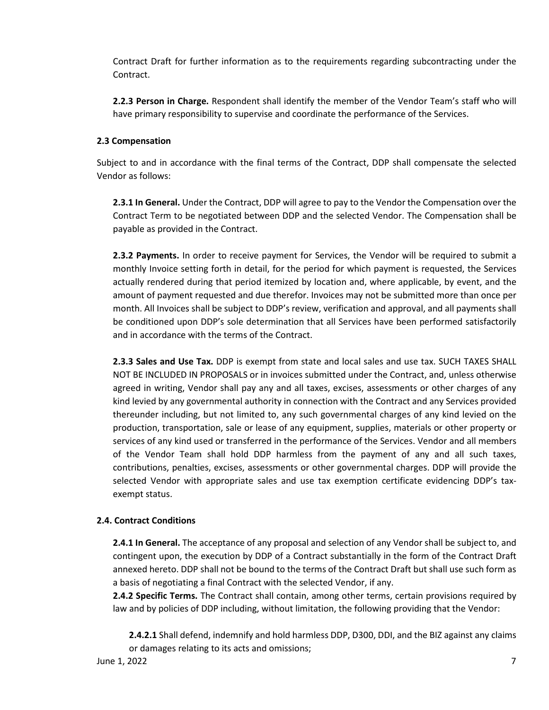Contract Draft for further information as to the requirements regarding subcontracting under the Contract.

**2.2.3 Person in Charge.** Respondent shall identify the member of the Vendor Team's staff who will have primary responsibility to supervise and coordinate the performance of the Services.

## **2.3 Compensation**

Subject to and in accordance with the final terms of the Contract, DDP shall compensate the selected Vendor as follows:

**2.3.1 In General.** Under the Contract, DDP will agree to pay to the Vendor the Compensation over the Contract Term to be negotiated between DDP and the selected Vendor. The Compensation shall be payable as provided in the Contract.

**2.3.2 Payments.** In order to receive payment for Services, the Vendor will be required to submit a monthly Invoice setting forth in detail, for the period for which payment is requested, the Services actually rendered during that period itemized by location and, where applicable, by event, and the amount of payment requested and due therefor. Invoices may not be submitted more than once per month. All Invoices shall be subject to DDP's review, verification and approval, and all payments shall be conditioned upon DDP's sole determination that all Services have been performed satisfactorily and in accordance with the terms of the Contract.

**2.3.3 Sales and Use Tax.** DDP is exempt from state and local sales and use tax. SUCH TAXES SHALL NOT BE INCLUDED IN PROPOSALS or in invoices submitted under the Contract, and, unless otherwise agreed in writing, Vendor shall pay any and all taxes, excises, assessments or other charges of any kind levied by any governmental authority in connection with the Contract and any Services provided thereunder including, but not limited to, any such governmental charges of any kind levied on the production, transportation, sale or lease of any equipment, supplies, materials or other property or services of any kind used or transferred in the performance of the Services. Vendor and all members of the Vendor Team shall hold DDP harmless from the payment of any and all such taxes, contributions, penalties, excises, assessments or other governmental charges. DDP will provide the selected Vendor with appropriate sales and use tax exemption certificate evidencing DDP's taxexempt status.

# **2.4. Contract Conditions**

**2.4.1 In General.** The acceptance of any proposal and selection of any Vendor shall be subject to, and contingent upon, the execution by DDP of a Contract substantially in the form of the Contract Draft annexed hereto. DDP shall not be bound to the terms of the Contract Draft but shall use such form as a basis of negotiating a final Contract with the selected Vendor, if any.

**2.4.2 Specific Terms.** The Contract shall contain, among other terms, certain provisions required by law and by policies of DDP including, without limitation, the following providing that the Vendor:

**2.4.2.1** Shall defend, indemnify and hold harmless DDP, D300, DDI, and the BIZ against any claims or damages relating to its acts and omissions;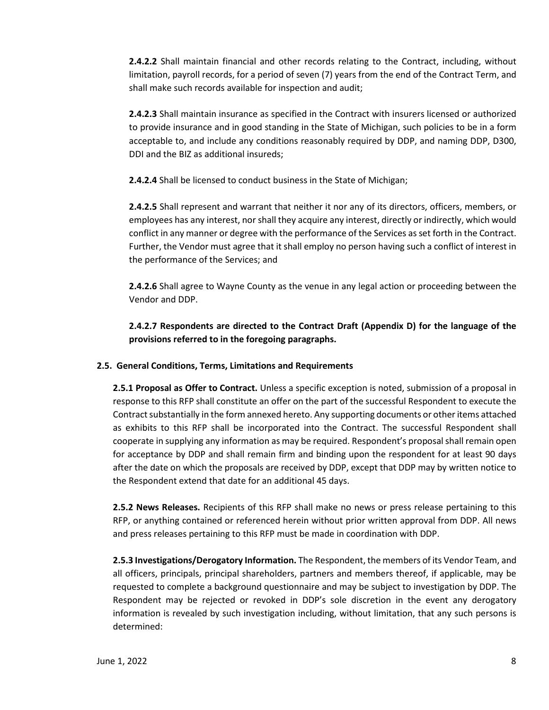**2.4.2.2** Shall maintain financial and other records relating to the Contract, including, without limitation, payroll records, for a period of seven (7) years from the end of the Contract Term, and shall make such records available for inspection and audit;

**2.4.2.3** Shall maintain insurance as specified in the Contract with insurers licensed or authorized to provide insurance and in good standing in the State of Michigan, such policies to be in a form acceptable to, and include any conditions reasonably required by DDP, and naming DDP, D300, DDI and the BIZ as additional insureds;

**2.4.2.4** Shall be licensed to conduct business in the State of Michigan;

**2.4.2.5** Shall represent and warrant that neither it nor any of its directors, officers, members, or employees has any interest, nor shall they acquire any interest, directly or indirectly, which would conflict in any manner or degree with the performance of the Services as set forth in the Contract. Further, the Vendor must agree that it shall employ no person having such a conflict of interest in the performance of the Services; and

**2.4.2.6** Shall agree to Wayne County as the venue in any legal action or proceeding between the Vendor and DDP.

**2.4.2.7 Respondents are directed to the Contract Draft (Appendix D) for the language of the provisions referred to in the foregoing paragraphs.**

# **2.5. General Conditions, Terms, Limitations and Requirements**

**2.5.1 Proposal as Offer to Contract.** Unless a specific exception is noted, submission of a proposal in response to this RFP shall constitute an offer on the part of the successful Respondent to execute the Contract substantially in the form annexed hereto. Any supporting documents or other items attached as exhibits to this RFP shall be incorporated into the Contract. The successful Respondent shall cooperate in supplying any information as may be required. Respondent's proposal shall remain open for acceptance by DDP and shall remain firm and binding upon the respondent for at least 90 days after the date on which the proposals are received by DDP, except that DDP may by written notice to the Respondent extend that date for an additional 45 days.

**2.5.2 News Releases.** Recipients of this RFP shall make no news or press release pertaining to this RFP, or anything contained or referenced herein without prior written approval from DDP. All news and press releases pertaining to this RFP must be made in coordination with DDP.

**2.5.3 Investigations/Derogatory Information.** The Respondent, the members of its Vendor Team, and all officers, principals, principal shareholders, partners and members thereof, if applicable, may be requested to complete a background questionnaire and may be subject to investigation by DDP. The Respondent may be rejected or revoked in DDP's sole discretion in the event any derogatory information is revealed by such investigation including, without limitation, that any such persons is determined: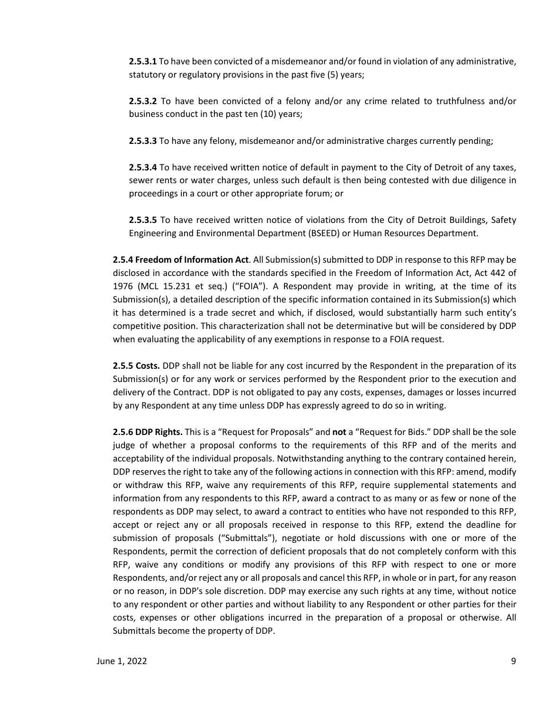**2.5.3.1** To have been convicted of a misdemeanor and/or found in violation of any administrative, statutory or regulatory provisions in the past five (5) years;

**2.5.3.2** To have been convicted of a felony and/or any crime related to truthfulness and/or business conduct in the past ten (10) years;

**2.5.3.3** To have any felony, misdemeanor and/or administrative charges currently pending;

**2.5.3.4** To have received written notice of default in payment to the City of Detroit of any taxes, sewer rents or water charges, unless such default is then being contested with due diligence in proceedings in a court or other appropriate forum; or

**2.5.3.5** To have received written notice of violations from the City of Detroit Buildings, Safety Engineering and Environmental Department (BSEED) or Human Resources Department.

**2.5.4 Freedom of Information Act**. All Submission(s) submitted to DDP in response to this RFP may be disclosed in accordance with the standards specified in the Freedom of Information Act, Act 442 of 1976 (MCL 15.231 et seq.) ("FOIA"). A Respondent may provide in writing, at the time of its Submission(s), a detailed description of the specific information contained in its Submission(s) which it has determined is a trade secret and which, if disclosed, would substantially harm such entity's competitive position. This characterization shall not be determinative but will be considered by DDP when evaluating the applicability of any exemptions in response to a FOIA request.

**2.5.5 Costs.** DDP shall not be liable for any cost incurred by the Respondent in the preparation of its Submission(s) or for any work or services performed by the Respondent prior to the execution and delivery of the Contract. DDP is not obligated to pay any costs, expenses, damages or losses incurred by any Respondent at any time unless DDP has expressly agreed to do so in writing.

**2.5.6 DDP Rights.** This is a "Request for Proposals" and **not** a "Request for Bids." DDP shall be the sole judge of whether a proposal conforms to the requirements of this RFP and of the merits and acceptability of the individual proposals. Notwithstanding anything to the contrary contained herein, DDP reserves the right to take any of the following actions in connection with this RFP: amend, modify or withdraw this RFP, waive any requirements of this RFP, require supplemental statements and information from any respondents to this RFP, award a contract to as many or as few or none of the respondents as DDP may select, to award a contract to entities who have not responded to this RFP, accept or reject any or all proposals received in response to this RFP, extend the deadline for submission of proposals ("Submittals"), negotiate or hold discussions with one or more of the Respondents, permit the correction of deficient proposals that do not completely conform with this RFP, waive any conditions or modify any provisions of this RFP with respect to one or more Respondents, and/or reject any or all proposals and cancel this RFP, in whole or in part, for any reason or no reason, in DDP's sole discretion. DDP may exercise any such rights at any time, without notice to any respondent or other parties and without liability to any Respondent or other parties for their costs, expenses or other obligations incurred in the preparation of a proposal or otherwise. All Submittals become the property of DDP.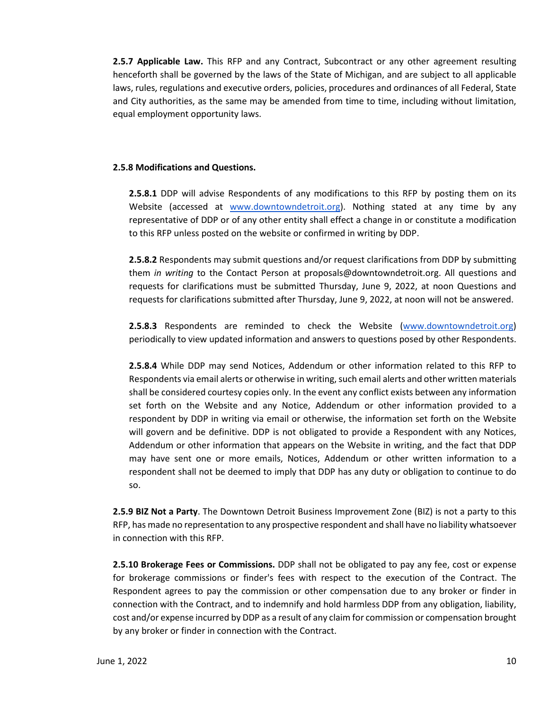**2.5.7 Applicable Law.** This RFP and any Contract, Subcontract or any other agreement resulting henceforth shall be governed by the laws of the State of Michigan, and are subject to all applicable laws, rules, regulations and executive orders, policies, procedures and ordinances of all Federal, State and City authorities, as the same may be amended from time to time, including without limitation, equal employment opportunity laws.

#### **2.5.8 Modifications and Questions.**

**2.5.8.1** DDP will advise Respondents of any modifications to this RFP by posting them on its Website (accessed at [www.downtowndetroit.org\)](http://www.downtowndetroit.org/). Nothing stated at any time by any representative of DDP or of any other entity shall effect a change in or constitute a modification to this RFP unless posted on the website or confirmed in writing by DDP.

**2.5.8.2** Respondents may submit questions and/or request clarifications from DDP by submitting them *in writing* to the Contact Person at proposals@downtowndetroit.org. All questions and requests for clarifications must be submitted Thursday, June 9, 2022, at noon Questions and requests for clarifications submitted after Thursday, June 9, 2022, at noon will not be answered.

**2.5.8.3** Respondents are reminded to check the Website [\(www.downtowndetroit.org\)](http://www.downtowndetroit.org/) periodically to view updated information and answers to questions posed by other Respondents.

**2.5.8.4** While DDP may send Notices, Addendum or other information related to this RFP to Respondents via email alerts or otherwise in writing, such email alerts and other written materials shall be considered courtesy copies only. In the event any conflict exists between any information set forth on the Website and any Notice, Addendum or other information provided to a respondent by DDP in writing via email or otherwise, the information set forth on the Website will govern and be definitive. DDP is not obligated to provide a Respondent with any Notices, Addendum or other information that appears on the Website in writing, and the fact that DDP may have sent one or more emails, Notices, Addendum or other written information to a respondent shall not be deemed to imply that DDP has any duty or obligation to continue to do so.

**2.5.9 BIZ Not a Party**. The Downtown Detroit Business Improvement Zone (BIZ) is not a party to this RFP, has made no representation to any prospective respondent and shall have no liability whatsoever in connection with this RFP.

**2.5.10 Brokerage Fees or Commissions.** DDP shall not be obligated to pay any fee, cost or expense for brokerage commissions or finder's fees with respect to the execution of the Contract. The Respondent agrees to pay the commission or other compensation due to any broker or finder in connection with the Contract, and to indemnify and hold harmless DDP from any obligation, liability, cost and/or expense incurred by DDP as a result of any claim for commission or compensation brought by any broker or finder in connection with the Contract.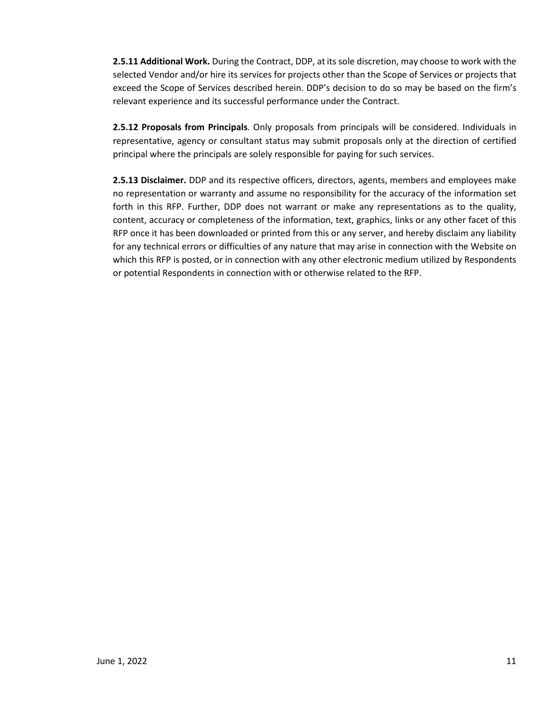**2.5.11 Additional Work.** During the Contract, DDP, at its sole discretion, may choose to work with the selected Vendor and/or hire its services for projects other than the Scope of Services or projects that exceed the Scope of Services described herein. DDP's decision to do so may be based on the firm's relevant experience and its successful performance under the Contract.

**2.5.12 Proposals from Principals**. Only proposals from principals will be considered. Individuals in representative, agency or consultant status may submit proposals only at the direction of certified principal where the principals are solely responsible for paying for such services.

**2.5.13 Disclaimer.** DDP and its respective officers, directors, agents, members and employees make no representation or warranty and assume no responsibility for the accuracy of the information set forth in this RFP. Further, DDP does not warrant or make any representations as to the quality, content, accuracy or completeness of the information, text, graphics, links or any other facet of this RFP once it has been downloaded or printed from this or any server, and hereby disclaim any liability for any technical errors or difficulties of any nature that may arise in connection with the Website on which this RFP is posted, or in connection with any other electronic medium utilized by Respondents or potential Respondents in connection with or otherwise related to the RFP.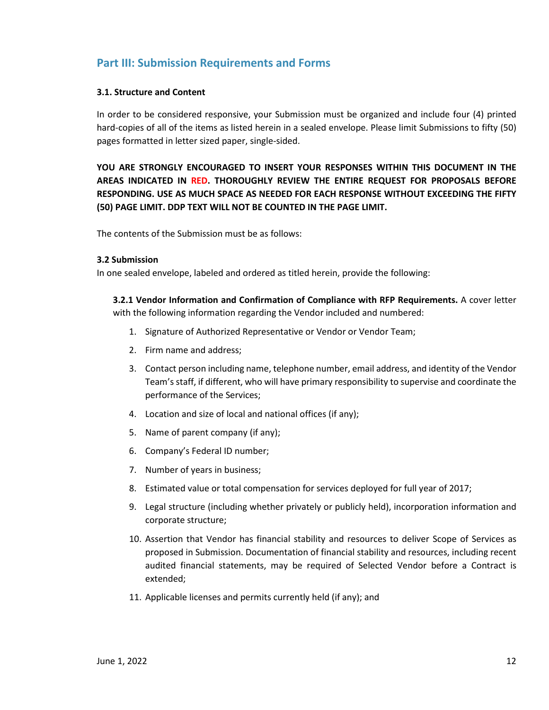# <span id="page-11-0"></span>**Part III: Submission Requirements and Forms**

#### **3.1. Structure and Content**

In order to be considered responsive, your Submission must be organized and include four (4) printed hard-copies of all of the items as listed herein in a sealed envelope. Please limit Submissions to fifty (50) pages formatted in letter sized paper, single-sided.

**YOU ARE STRONGLY ENCOURAGED TO INSERT YOUR RESPONSES WITHIN THIS DOCUMENT IN THE AREAS INDICATED IN RED. THOROUGHLY REVIEW THE ENTIRE REQUEST FOR PROPOSALS BEFORE RESPONDING. USE AS MUCH SPACE AS NEEDED FOR EACH RESPONSE WITHOUT EXCEEDING THE FIFTY (50) PAGE LIMIT. DDP TEXT WILL NOT BE COUNTED IN THE PAGE LIMIT.**

The contents of the Submission must be as follows:

#### **3.2 Submission**

In one sealed envelope, labeled and ordered as titled herein, provide the following:

**3.2.1 Vendor Information and Confirmation of Compliance with RFP Requirements.** A cover letter with the following information regarding the Vendor included and numbered:

- 1. Signature of Authorized Representative or Vendor or Vendor Team;
- 2. Firm name and address;
- 3. Contact person including name, telephone number, email address, and identity of the Vendor Team's staff, if different, who will have primary responsibility to supervise and coordinate the performance of the Services;
- 4. Location and size of local and national offices (if any);
- 5. Name of parent company (if any);
- 6. Company's Federal ID number;
- 7. Number of years in business;
- 8. Estimated value or total compensation for services deployed for full year of 2017;
- 9. Legal structure (including whether privately or publicly held), incorporation information and corporate structure;
- 10. Assertion that Vendor has financial stability and resources to deliver Scope of Services as proposed in Submission. Documentation of financial stability and resources, including recent audited financial statements, may be required of Selected Vendor before a Contract is extended;
- 11. Applicable licenses and permits currently held (if any); and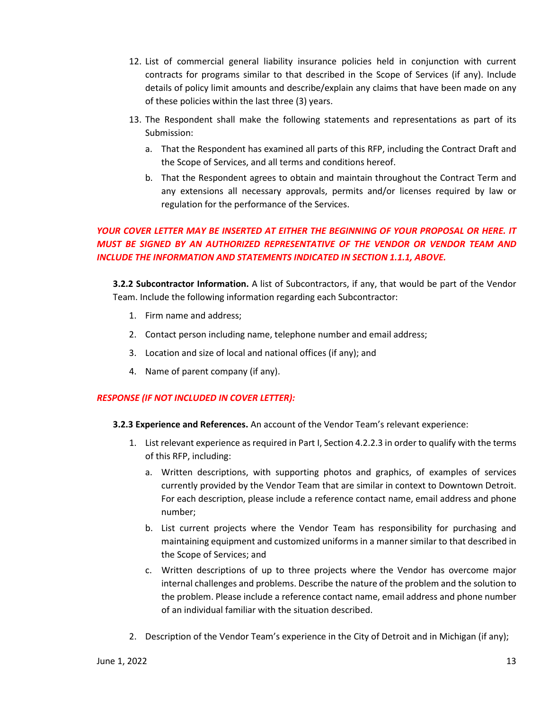- 12. List of commercial general liability insurance policies held in conjunction with current contracts for programs similar to that described in the Scope of Services (if any). Include details of policy limit amounts and describe/explain any claims that have been made on any of these policies within the last three (3) years.
- 13. The Respondent shall make the following statements and representations as part of its Submission:
	- a. That the Respondent has examined all parts of this RFP, including the Contract Draft and the Scope of Services, and all terms and conditions hereof.
	- b. That the Respondent agrees to obtain and maintain throughout the Contract Term and any extensions all necessary approvals, permits and/or licenses required by law or regulation for the performance of the Services.

# *YOUR COVER LETTER MAY BE INSERTED AT EITHER THE BEGINNING OF YOUR PROPOSAL OR HERE. IT MUST BE SIGNED BY AN AUTHORIZED REPRESENTATIVE OF THE VENDOR OR VENDOR TEAM AND INCLUDE THE INFORMATION AND STATEMENTS INDICATED IN SECTION 1.1.1, ABOVE.*

**3.2.2 Subcontractor Information.** A list of Subcontractors, if any, that would be part of the Vendor Team. Include the following information regarding each Subcontractor:

- 1. Firm name and address;
- 2. Contact person including name, telephone number and email address;
- 3. Location and size of local and national offices (if any); and
- 4. Name of parent company (if any).

# *RESPONSE (IF NOT INCLUDED IN COVER LETTER):*

- **3.2.3 Experience and References.** An account of the Vendor Team's relevant experience:
	- 1. List relevant experience as required in Part I, Section 4.2.2.3 in order to qualify with the terms of this RFP, including:
		- a. Written descriptions, with supporting photos and graphics, of examples of services currently provided by the Vendor Team that are similar in context to Downtown Detroit. For each description, please include a reference contact name, email address and phone number;
		- b. List current projects where the Vendor Team has responsibility for purchasing and maintaining equipment and customized uniforms in a manner similar to that described in the Scope of Services; and
		- c. Written descriptions of up to three projects where the Vendor has overcome major internal challenges and problems. Describe the nature of the problem and the solution to the problem. Please include a reference contact name, email address and phone number of an individual familiar with the situation described.
	- 2. Description of the Vendor Team's experience in the City of Detroit and in Michigan (if any);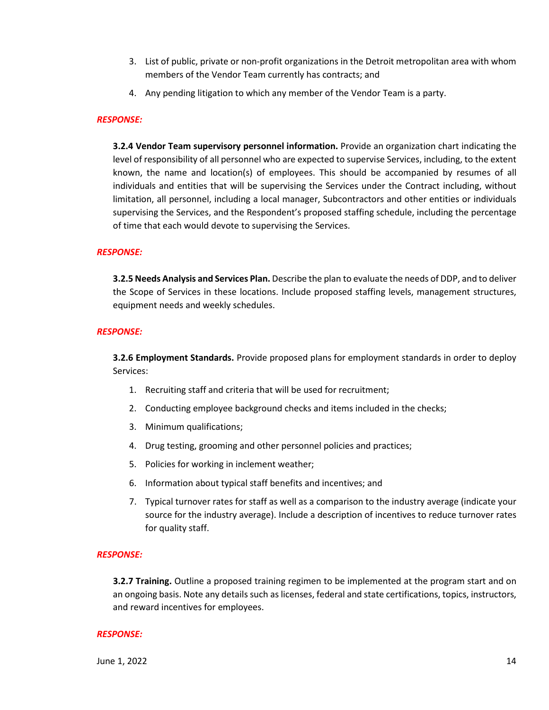- 3. List of public, private or non-profit organizations in the Detroit metropolitan area with whom members of the Vendor Team currently has contracts; and
- 4. Any pending litigation to which any member of the Vendor Team is a party.

#### *RESPONSE:*

**3.2.4 Vendor Team supervisory personnel information.** Provide an organization chart indicating the level of responsibility of all personnel who are expected to supervise Services, including, to the extent known, the name and location(s) of employees. This should be accompanied by resumes of all individuals and entities that will be supervising the Services under the Contract including, without limitation, all personnel, including a local manager, Subcontractors and other entities or individuals supervising the Services, and the Respondent's proposed staffing schedule, including the percentage of time that each would devote to supervising the Services.

#### *RESPONSE:*

**3.2.5 Needs Analysis and Services Plan.** Describe the plan to evaluate the needs of DDP, and to deliver the Scope of Services in these locations. Include proposed staffing levels, management structures, equipment needs and weekly schedules.

#### *RESPONSE:*

**3.2.6 Employment Standards.** Provide proposed plans for employment standards in order to deploy Services:

- 1. Recruiting staff and criteria that will be used for recruitment;
- 2. Conducting employee background checks and items included in the checks;
- 3. Minimum qualifications;
- 4. Drug testing, grooming and other personnel policies and practices;
- 5. Policies for working in inclement weather;
- 6. Information about typical staff benefits and incentives; and
- 7. Typical turnover rates for staff as well as a comparison to the industry average (indicate your source for the industry average). Include a description of incentives to reduce turnover rates for quality staff.

#### *RESPONSE:*

**3.2.7 Training.** Outline a proposed training regimen to be implemented at the program start and on an ongoing basis. Note any details such as licenses, federal and state certifications, topics, instructors, and reward incentives for employees.

#### *RESPONSE:*

 $J$ une 1, 2022  $14$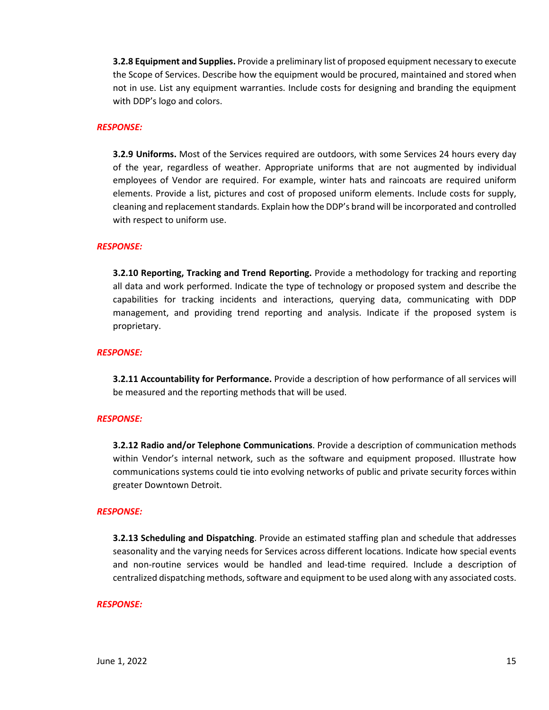**3.2.8 Equipment and Supplies.** Provide a preliminary list of proposed equipment necessary to execute the Scope of Services. Describe how the equipment would be procured, maintained and stored when not in use. List any equipment warranties. Include costs for designing and branding the equipment with DDP's logo and colors.

#### *RESPONSE:*

**3.2.9 Uniforms.** Most of the Services required are outdoors, with some Services 24 hours every day of the year, regardless of weather. Appropriate uniforms that are not augmented by individual employees of Vendor are required. For example, winter hats and raincoats are required uniform elements. Provide a list, pictures and cost of proposed uniform elements. Include costs for supply, cleaning and replacement standards. Explain how the DDP's brand will be incorporated and controlled with respect to uniform use.

#### *RESPONSE:*

**3.2.10 Reporting, Tracking and Trend Reporting.** Provide a methodology for tracking and reporting all data and work performed. Indicate the type of technology or proposed system and describe the capabilities for tracking incidents and interactions, querying data, communicating with DDP management, and providing trend reporting and analysis. Indicate if the proposed system is proprietary.

#### *RESPONSE:*

**3.2.11 Accountability for Performance.** Provide a description of how performance of all services will be measured and the reporting methods that will be used.

#### *RESPONSE:*

**3.2.12 Radio and/or Telephone Communications**. Provide a description of communication methods within Vendor's internal network, such as the software and equipment proposed. Illustrate how communications systems could tie into evolving networks of public and private security forces within greater Downtown Detroit.

#### *RESPONSE:*

**3.2.13 Scheduling and Dispatching**. Provide an estimated staffing plan and schedule that addresses seasonality and the varying needs for Services across different locations. Indicate how special events and non-routine services would be handled and lead-time required. Include a description of centralized dispatching methods, software and equipment to be used along with any associated costs.

#### *RESPONSE:*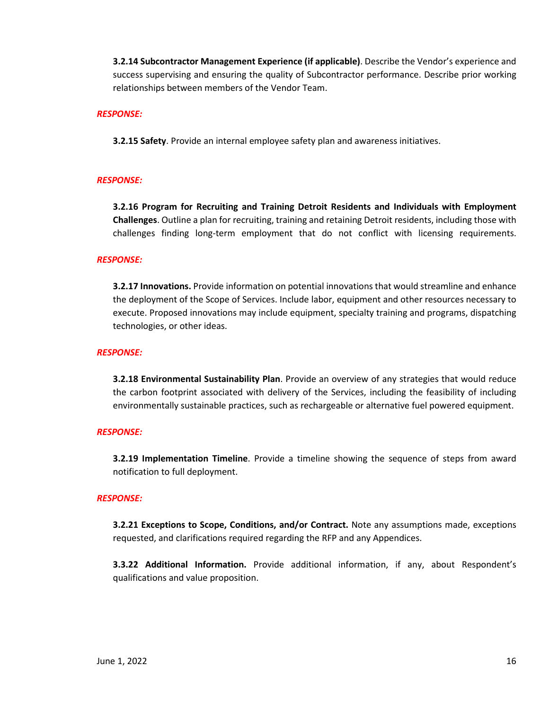**3.2.14 Subcontractor Management Experience (if applicable)**. Describe the Vendor's experience and success supervising and ensuring the quality of Subcontractor performance. Describe prior working relationships between members of the Vendor Team.

#### *RESPONSE:*

**3.2.15 Safety**. Provide an internal employee safety plan and awareness initiatives.

#### *RESPONSE:*

**3.2.16 Program for Recruiting and Training Detroit Residents and Individuals with Employment Challenges**. Outline a plan for recruiting, training and retaining Detroit residents, including those with challenges finding long-term employment that do not conflict with licensing requirements.

#### *RESPONSE:*

**3.2.17 Innovations.** Provide information on potential innovations that would streamline and enhance the deployment of the Scope of Services. Include labor, equipment and other resources necessary to execute. Proposed innovations may include equipment, specialty training and programs, dispatching technologies, or other ideas.

#### *RESPONSE:*

**3.2.18 Environmental Sustainability Plan**. Provide an overview of any strategies that would reduce the carbon footprint associated with delivery of the Services, including the feasibility of including environmentally sustainable practices, such as rechargeable or alternative fuel powered equipment.

#### *RESPONSE:*

**3.2.19 Implementation Timeline**. Provide a timeline showing the sequence of steps from award notification to full deployment.

#### *RESPONSE:*

**3.2.21 Exceptions to Scope, Conditions, and/or Contract.** Note any assumptions made, exceptions requested, and clarifications required regarding the RFP and any Appendices.

**3.3.22 Additional Information.** Provide additional information, if any, about Respondent's qualifications and value proposition.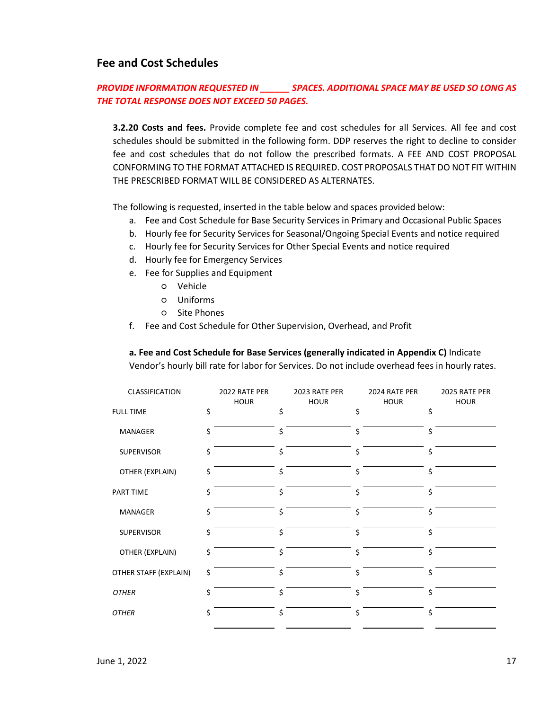# **Fee and Cost Schedules**

# *PROVIDE INFORMATION REQUESTED IN \_\_\_\_\_\_ SPACES. ADDITIONAL SPACE MAY BE USED SO LONG AS THE TOTAL RESPONSE DOES NOT EXCEED 50 PAGES.*

**3.2.20 Costs and fees.** Provide complete fee and cost schedules for all Services. All fee and cost schedules should be submitted in the following form. DDP reserves the right to decline to consider fee and cost schedules that do not follow the prescribed formats. A FEE AND COST PROPOSAL CONFORMING TO THE FORMAT ATTACHED IS REQUIRED. COST PROPOSALS THAT DO NOT FIT WITHIN THE PRESCRIBED FORMAT WILL BE CONSIDERED AS ALTERNATES.

The following is requested, inserted in the table below and spaces provided below:

- a. Fee and Cost Schedule for Base Security Services in Primary and Occasional Public Spaces
- b. Hourly fee for Security Services for Seasonal/Ongoing Special Events and notice required
- c. Hourly fee for Security Services for Other Special Events and notice required
- d. Hourly fee for Emergency Services
- e. Fee for Supplies and Equipment
	- Vehicle
	- Uniforms
	- Site Phones
- f. Fee and Cost Schedule for Other Supervision, Overhead, and Profit

**a. Fee and Cost Schedule for Base Services (generally indicated in Appendix C)** Indicate

Vendor's hourly bill rate for labor for Services. Do not include overhead fees in hourly rates.

| CLASSIFICATION        | 2022 RATE PER<br><b>HOUR</b> | 2023 RATE PER<br><b>HOUR</b> | 2024 RATE PER<br><b>HOUR</b> | 2025 RATE PER<br><b>HOUR</b> |
|-----------------------|------------------------------|------------------------------|------------------------------|------------------------------|
| <b>FULL TIME</b>      | \$                           | \$                           | \$                           | \$                           |
| MANAGER               | \$                           | \$                           | \$                           | \$                           |
| <b>SUPERVISOR</b>     | Ś.                           | \$                           | \$                           | \$                           |
| OTHER (EXPLAIN)       | \$                           | \$                           | \$                           | \$                           |
| PART TIME             | \$                           | \$                           | \$                           | \$                           |
| MANAGER               | Ś.                           | \$                           | \$                           | Ś                            |
| <b>SUPERVISOR</b>     | Ś.                           | \$                           | \$                           | \$                           |
| OTHER (EXPLAIN)       | \$                           | \$                           | \$                           | \$                           |
| OTHER STAFF (EXPLAIN) | \$                           | \$                           | \$                           | \$                           |
| <b>OTHER</b>          | Ś.                           | \$                           | \$                           | \$                           |
| <b>OTHER</b>          | Ś                            | \$                           | \$                           | \$                           |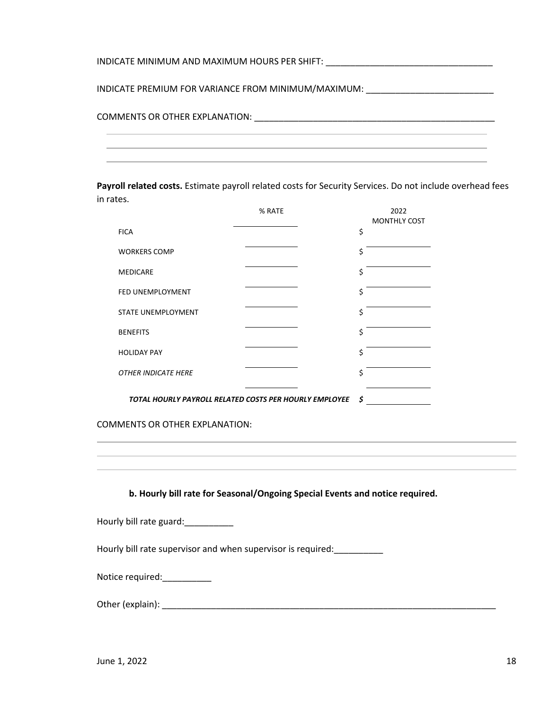| INDICATE MINIMUM AND MAXIMUM HOURS PER SHIFT: NAMEL AND RELEASED AND MAXIMUM HOURS PER SHIFT: |
|-----------------------------------------------------------------------------------------------|
| INDICATE PREMIUM FOR VARIANCE FROM MINIMUM/MAXIMUM: ____________________________              |
|                                                                                               |
|                                                                                               |

**Payroll related costs.** Estimate payroll related costs for Security Services. Do not include overhead fees in rates.

|                            | % RATE                                                 | 2022<br><b>MONTHLY COST</b> |
|----------------------------|--------------------------------------------------------|-----------------------------|
| <b>FICA</b>                |                                                        | \$                          |
| <b>WORKERS COMP</b>        |                                                        | \$                          |
| <b>MEDICARE</b>            |                                                        | \$                          |
| FED UNEMPLOYMENT           |                                                        | \$                          |
| <b>STATE UNEMPLOYMENT</b>  |                                                        | \$                          |
| <b>BENEFITS</b>            |                                                        | \$                          |
| <b>HOLIDAY PAY</b>         |                                                        | \$                          |
| <b>OTHER INDICATE HERE</b> |                                                        | Ś                           |
|                            | TOTAL HOURLY PAYROLL RELATED COSTS PER HOURLY EMPLOYEE | Ś                           |

COMMENTS OR OTHER EXPLANATION:

**b. Hourly bill rate for Seasonal/Ongoing Special Events and notice required.**

Hourly bill rate guard: \_\_\_\_\_\_\_\_\_\_\_

Hourly bill rate supervisor and when supervisor is required: \_\_\_\_\_\_\_\_\_\_

| Notice required: |  |
|------------------|--|
|------------------|--|

Other (explain): \_\_\_\_\_\_\_\_\_\_\_\_\_\_\_\_\_\_\_\_\_\_\_\_\_\_\_\_\_\_\_\_\_\_\_\_\_\_\_\_\_\_\_\_\_\_\_\_\_\_\_\_\_\_\_\_\_\_\_\_\_\_\_\_\_\_\_\_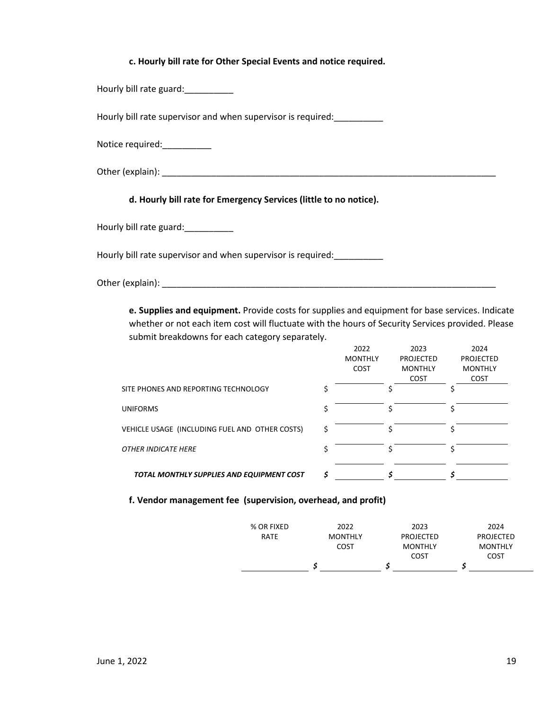#### **c. Hourly bill rate for Other Special Events and notice required.**

Hourly bill rate guard:\_\_\_\_\_\_\_\_\_\_

Hourly bill rate supervisor and when supervisor is required: \_\_\_\_\_\_\_\_\_\_

Notice required: \_\_\_\_\_\_\_\_\_\_\_

Other (explain):

**d. Hourly bill rate for Emergency Services (little to no notice).**

Hourly bill rate guard:

Hourly bill rate supervisor and when supervisor is required:\_\_\_\_\_\_\_\_\_\_

Other (explain): The state of the state of the state of the state of the state of the state of the state of the state of the state of the state of the state of the state of the state of the state of the state of the state

**e. Supplies and equipment.** Provide costs for supplies and equipment for base services. Indicate whether or not each item cost will fluctuate with the hours of Security Services provided. Please submit breakdowns for each category separately.

|                                                | 2022<br><b>MONTHLY</b><br>COST | 2023<br>PROJECTED<br><b>MONTHLY</b><br><b>COST</b> | 2024<br><b>PROJECTED</b><br><b>MONTHLY</b><br><b>COST</b> |
|------------------------------------------------|--------------------------------|----------------------------------------------------|-----------------------------------------------------------|
| SITE PHONES AND REPORTING TECHNOLOGY           |                                |                                                    |                                                           |
| <b>UNIFORMS</b>                                |                                |                                                    |                                                           |
| VEHICLE USAGE (INCLUDING FUEL AND OTHER COSTS) |                                |                                                    |                                                           |
| OTHER INDICATE HERE                            |                                |                                                    |                                                           |
| TOTAL MONTHLY SUPPLIES AND EQUIPMENT COST      |                                |                                                    |                                                           |

#### **f. Vendor management fee (supervision, overhead, and profit)**

|            |                | <b>COST</b>      | COST           |
|------------|----------------|------------------|----------------|
|            | COST           | <b>MONTHLY</b>   | <b>MONTHLY</b> |
| RATE       | <b>MONTHLY</b> | <b>PROJECTED</b> | PROJECTED      |
| % OR FIXED | 2022           | 2023             | 2024           |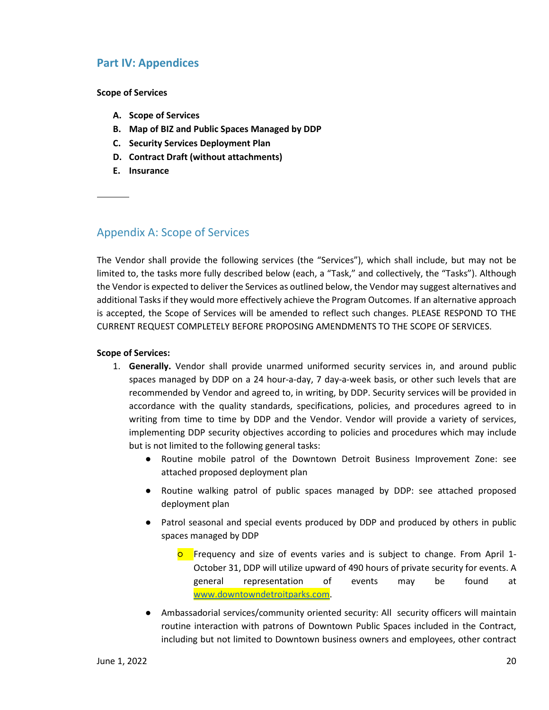# <span id="page-19-0"></span>**Part IV: Appendices**

**Scope of Services**

- **A. Scope of Services**
- **B. Map of BIZ and Public Spaces Managed by DDP**
- **C. Security Services Deployment Plan**
- **D. Contract Draft (without attachments)**
- **E. Insurance**

# <span id="page-19-1"></span>Appendix A: Scope of Services

The Vendor shall provide the following services (the "Services"), which shall include, but may not be limited to, the tasks more fully described below (each, a "Task," and collectively, the "Tasks"). Although the Vendor is expected to deliver the Services as outlined below, the Vendor may suggest alternatives and additional Tasks if they would more effectively achieve the Program Outcomes. If an alternative approach is accepted, the Scope of Services will be amended to reflect such changes. PLEASE RESPOND TO THE CURRENT REQUEST COMPLETELY BEFORE PROPOSING AMENDMENTS TO THE SCOPE OF SERVICES.

### **Scope of Services:**

- 1. **Generally.** Vendor shall provide unarmed uniformed security services in, and around public spaces managed by DDP on a 24 hour-a-day, 7 day-a-week basis, or other such levels that are recommended by Vendor and agreed to, in writing, by DDP. Security services will be provided in accordance with the quality standards, specifications, policies, and procedures agreed to in writing from time to time by DDP and the Vendor. Vendor will provide a variety of services, implementing DDP security objectives according to policies and procedures which may include but is not limited to the following general tasks:
	- Routine mobile patrol of the Downtown Detroit Business Improvement Zone: see attached proposed deployment plan
	- Routine walking patrol of public spaces managed by DDP: see attached proposed deployment plan
	- Patrol seasonal and special events produced by DDP and produced by others in public spaces managed by DDP
		- **O** Frequency and size of events varies and is subject to change. From April 1-October 31, DDP will utilize upward of 490 hours of private security for events. A general representation of events may be found at [www.downtowndetroitparks.com.](http://www.downtowndetroitparks.com/)
	- Ambassadorial services/community oriented security: All security officers will maintain routine interaction with patrons of Downtown Public Spaces included in the Contract, including but not limited to Downtown business owners and employees, other contract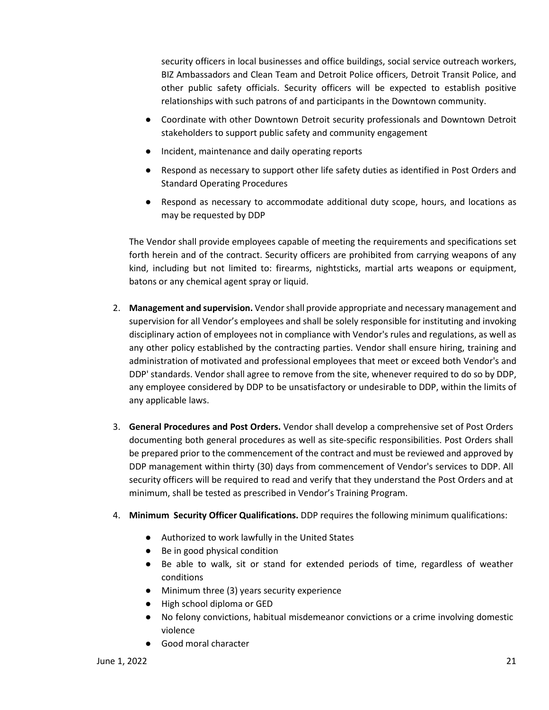security officers in local businesses and office buildings, social service outreach workers, BIZ Ambassadors and Clean Team and Detroit Police officers, Detroit Transit Police, and other public safety officials. Security officers will be expected to establish positive relationships with such patrons of and participants in the Downtown community.

- Coordinate with other Downtown Detroit security professionals and Downtown Detroit stakeholders to support public safety and community engagement
- Incident, maintenance and daily operating reports
- Respond as necessary to support other life safety duties as identified in Post Orders and Standard Operating Procedures
- Respond as necessary to accommodate additional duty scope, hours, and locations as may be requested by DDP

The Vendor shall provide employees capable of meeting the requirements and specifications set forth herein and of the contract. Security officers are prohibited from carrying weapons of any kind, including but not limited to: firearms, nightsticks, martial arts weapons or equipment, batons or any chemical agent spray or liquid.

- 2. **Management and supervision.** Vendor shall provide appropriate and necessary management and supervision for all Vendor's employees and shall be solely responsible for instituting and invoking disciplinary action of employees not in compliance with Vendor's rules and regulations, as well as any other policy established by the contracting parties. Vendor shall ensure hiring, training and administration of motivated and professional employees that meet or exceed both Vendor's and DDP' standards. Vendor shall agree to remove from the site, whenever required to do so by DDP, any employee considered by DDP to be unsatisfactory or undesirable to DDP, within the limits of any applicable laws.
- 3. **General Procedures and Post Orders.** Vendor shall develop a comprehensive set of Post Orders documenting both general procedures as well as site-specific responsibilities. Post Orders shall be prepared prior to the commencement of the contract and must be reviewed and approved by DDP management within thirty (30) days from commencement of Vendor's services to DDP. All security officers will be required to read and verify that they understand the Post Orders and at minimum, shall be tested as prescribed in Vendor's Training Program.
- 4. **Minimum Security Officer Qualifications.** DDP requires the following minimum qualifications:
	- Authorized to work lawfully in the United States
	- Be in good physical condition
	- Be able to walk, sit or stand for extended periods of time, regardless of weather conditions
	- Minimum three (3) years security experience
	- High school diploma or GED
	- No felony convictions, habitual misdemeanor convictions or a crime involving domestic violence
	- Good moral character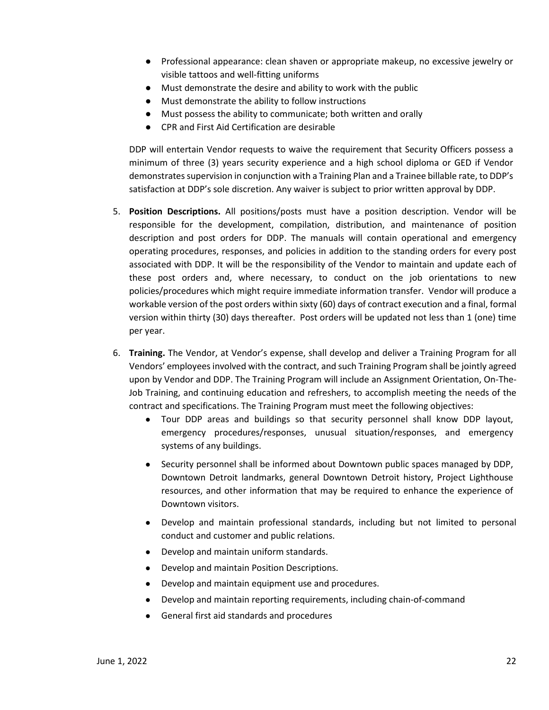- Professional appearance: clean shaven or appropriate makeup, no excessive jewelry or visible tattoos and well-fitting uniforms
- Must demonstrate the desire and ability to work with the public
- Must demonstrate the ability to follow instructions
- Must possess the ability to communicate; both written and orally
- CPR and First Aid Certification are desirable

DDP will entertain Vendor requests to waive the requirement that Security Officers possess a minimum of three (3) years security experience and a high school diploma or GED if Vendor demonstrates supervision in conjunction with a Training Plan and a Trainee billable rate, to DDP's satisfaction at DDP's sole discretion. Any waiver is subject to prior written approval by DDP.

- 5. **Position Descriptions.** All positions/posts must have a position description. Vendor will be responsible for the development, compilation, distribution, and maintenance of position description and post orders for DDP. The manuals will contain operational and emergency operating procedures, responses, and policies in addition to the standing orders for every post associated with DDP. It will be the responsibility of the Vendor to maintain and update each of these post orders and, where necessary, to conduct on the job orientations to new policies/procedures which might require immediate information transfer. Vendor will produce a workable version of the post orders within sixty (60) days of contract execution and a final, formal version within thirty (30) days thereafter. Post orders will be updated not less than 1 (one) time per year.
- 6. **Training.** The Vendor, at Vendor's expense, shall develop and deliver a Training Program for all Vendors' employees involved with the contract, and such Training Program shall be jointly agreed upon by Vendor and DDP. The Training Program will include an Assignment Orientation, On-The-Job Training, and continuing education and refreshers, to accomplish meeting the needs of the contract and specifications. The Training Program must meet the following objectives:
	- Tour DDP areas and buildings so that security personnel shall know DDP layout, emergency procedures/responses, unusual situation/responses, and emergency systems of any buildings.
	- Security personnel shall be informed about Downtown public spaces managed by DDP, Downtown Detroit landmarks, general Downtown Detroit history, Project Lighthouse resources, and other information that may be required to enhance the experience of Downtown visitors.
	- Develop and maintain professional standards, including but not limited to personal conduct and customer and public relations.
	- Develop and maintain uniform standards.
	- Develop and maintain Position Descriptions.
	- Develop and maintain equipment use and procedures.
	- Develop and maintain reporting requirements, including chain-of-command
	- General first aid standards and procedures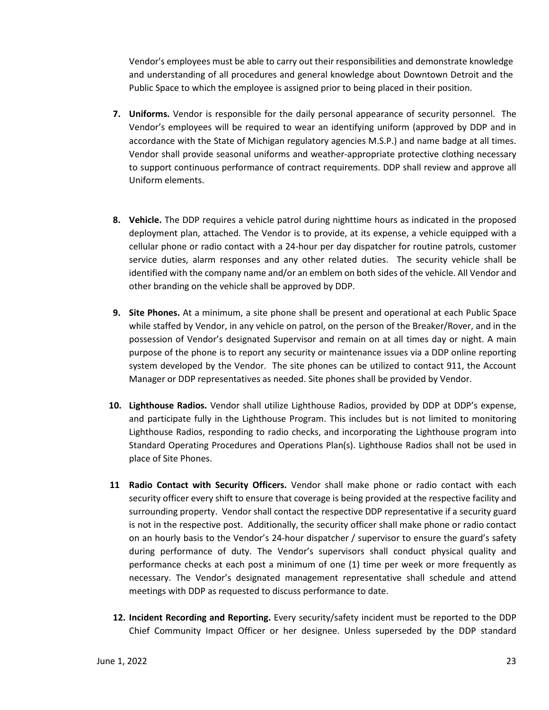Vendor's employees must be able to carry out their responsibilities and demonstrate knowledge and understanding of all procedures and general knowledge about Downtown Detroit and the Public Space to which the employee is assigned prior to being placed in their position.

- **7. Uniforms.** Vendor is responsible for the daily personal appearance of security personnel. The Vendor's employees will be required to wear an identifying uniform (approved by DDP and in accordance with the State of Michigan regulatory agencies M.S.P.) and name badge at all times. Vendor shall provide seasonal uniforms and weather-appropriate protective clothing necessary to support continuous performance of contract requirements. DDP shall review and approve all Uniform elements.
- **8. Vehicle.** The DDP requires a vehicle patrol during nighttime hours as indicated in the proposed deployment plan, attached. The Vendor is to provide, at its expense, a vehicle equipped with a cellular phone or radio contact with a 24-hour per day dispatcher for routine patrols, customer service duties, alarm responses and any other related duties. The security vehicle shall be identified with the company name and/or an emblem on both sides of the vehicle. All Vendor and other branding on the vehicle shall be approved by DDP.
- **9. Site Phones.** At a minimum, a site phone shall be present and operational at each Public Space while staffed by Vendor, in any vehicle on patrol, on the person of the Breaker/Rover, and in the possession of Vendor's designated Supervisor and remain on at all times day or night. A main purpose of the phone is to report any security or maintenance issues via a DDP online reporting system developed by the Vendor. The site phones can be utilized to contact 911, the Account Manager or DDP representatives as needed. Site phones shall be provided by Vendor.
- **10. Lighthouse Radios.** Vendor shall utilize Lighthouse Radios, provided by DDP at DDP's expense, and participate fully in the Lighthouse Program. This includes but is not limited to monitoring Lighthouse Radios, responding to radio checks, and incorporating the Lighthouse program into Standard Operating Procedures and Operations Plan(s). Lighthouse Radios shall not be used in place of Site Phones.
- **11 Radio Contact with Security Officers.** Vendor shall make phone or radio contact with each security officer every shift to ensure that coverage is being provided at the respective facility and surrounding property. Vendor shall contact the respective DDP representative if a security guard is not in the respective post. Additionally, the security officer shall make phone or radio contact on an hourly basis to the Vendor's 24-hour dispatcher / supervisor to ensure the guard's safety during performance of duty. The Vendor's supervisors shall conduct physical quality and performance checks at each post a minimum of one (1) time per week or more frequently as necessary. The Vendor's designated management representative shall schedule and attend meetings with DDP as requested to discuss performance to date.
- **12. Incident Recording and Reporting.** Every security/safety incident must be reported to the DDP Chief Community Impact Officer or her designee. Unless superseded by the DDP standard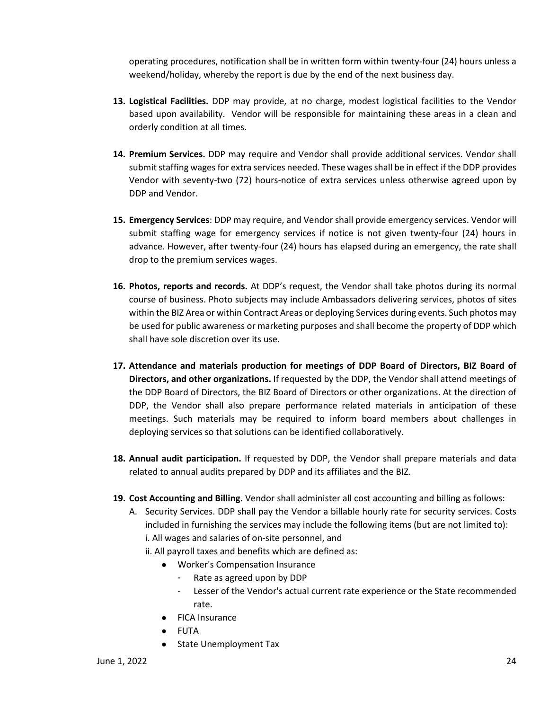operating procedures, notification shall be in written form within twenty-four (24) hours unless a weekend/holiday, whereby the report is due by the end of the next business day.

- **13. Logistical Facilities.** DDP may provide, at no charge, modest logistical facilities to the Vendor based upon availability. Vendor will be responsible for maintaining these areas in a clean and orderly condition at all times.
- **14. Premium Services.** DDP may require and Vendor shall provide additional services. Vendor shall submit staffing wages for extra services needed. These wages shall be in effect if the DDP provides Vendor with seventy-two (72) hours-notice of extra services unless otherwise agreed upon by DDP and Vendor.
- **15. Emergency Services**: DDP may require, and Vendor shall provide emergency services. Vendor will submit staffing wage for emergency services if notice is not given twenty-four (24) hours in advance. However, after twenty-four (24) hours has elapsed during an emergency, the rate shall drop to the premium services wages.
- **16. Photos, reports and records.** At DDP's request, the Vendor shall take photos during its normal course of business. Photo subjects may include Ambassadors delivering services, photos of sites within the BIZ Area or within Contract Areas or deploying Services during events. Such photos may be used for public awareness or marketing purposes and shall become the property of DDP which shall have sole discretion over its use.
- **17. Attendance and materials production for meetings of DDP Board of Directors, BIZ Board of Directors, and other organizations.** If requested by the DDP, the Vendor shall attend meetings of the DDP Board of Directors, the BIZ Board of Directors or other organizations. At the direction of DDP, the Vendor shall also prepare performance related materials in anticipation of these meetings. Such materials may be required to inform board members about challenges in deploying services so that solutions can be identified collaboratively.
- **18. Annual audit participation.** If requested by DDP, the Vendor shall prepare materials and data related to annual audits prepared by DDP and its affiliates and the BIZ.
- **19. Cost Accounting and Billing.** Vendor shall administer all cost accounting and billing as follows:
	- A. Security Services. DDP shall pay the Vendor a billable hourly rate for security services. Costs included in furnishing the services may include the following items (but are not limited to): i. All wages and salaries of on-site personnel, and
		- ii. All payroll taxes and benefits which are defined as:
			- Worker's Compensation Insurance
				- Rate as agreed upon by DDP
				- Lesser of the Vendor's actual current rate experience or the State recommended rate.
			- FICA Insurance
			- FUTA
			- State Unemployment Tax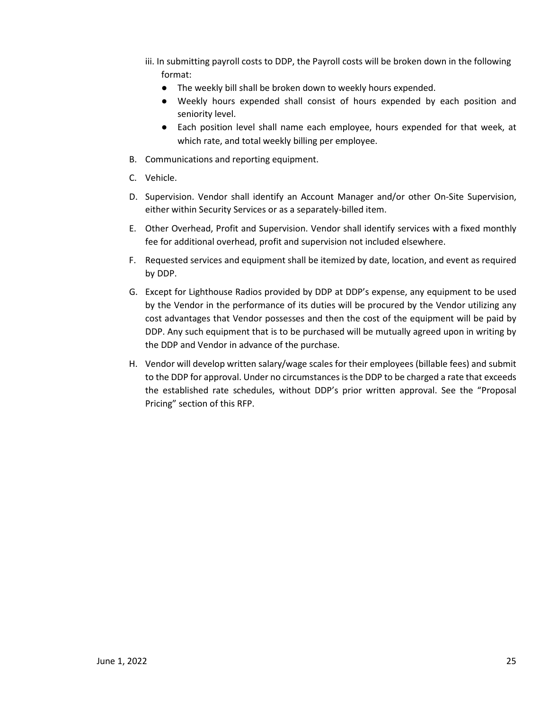- iii. In submitting payroll costs to DDP, the Payroll costs will be broken down in the following format:
	- The weekly bill shall be broken down to weekly hours expended.
	- Weekly hours expended shall consist of hours expended by each position and seniority level.
	- Each position level shall name each employee, hours expended for that week, at which rate, and total weekly billing per employee.
- B. Communications and reporting equipment.
- C. Vehicle.
- D. Supervision. Vendor shall identify an Account Manager and/or other On-Site Supervision, either within Security Services or as a separately-billed item.
- E. Other Overhead, Profit and Supervision. Vendor shall identify services with a fixed monthly fee for additional overhead, profit and supervision not included elsewhere.
- F. Requested services and equipment shall be itemized by date, location, and event as required by DDP.
- G. Except for Lighthouse Radios provided by DDP at DDP's expense, any equipment to be used by the Vendor in the performance of its duties will be procured by the Vendor utilizing any cost advantages that Vendor possesses and then the cost of the equipment will be paid by DDP. Any such equipment that is to be purchased will be mutually agreed upon in writing by the DDP and Vendor in advance of the purchase.
- H. Vendor will develop written salary/wage scales for their employees (billable fees) and submit to the DDP for approval. Under no circumstances is the DDP to be charged a rate that exceeds the established rate schedules, without DDP's prior written approval. See the "Proposal Pricing" section of this RFP.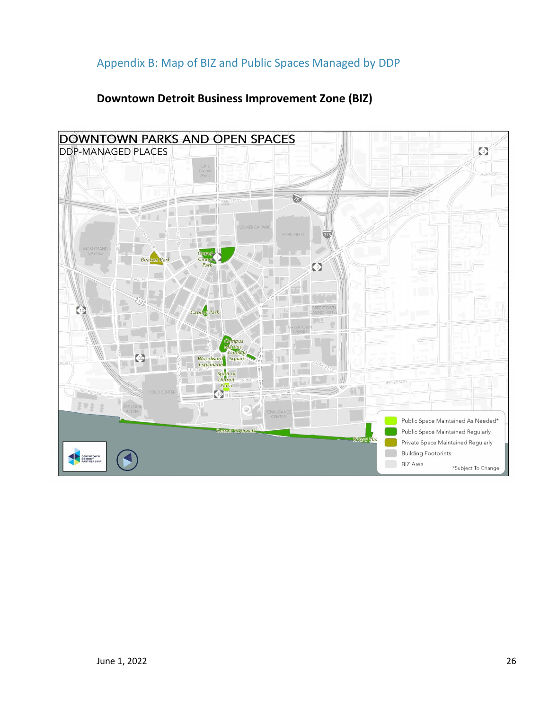# <span id="page-25-0"></span>Appendix B: Map of BIZ and Public Spaces Managed by DDP

# **Downtown Detroit Business Improvement Zone (BIZ)**

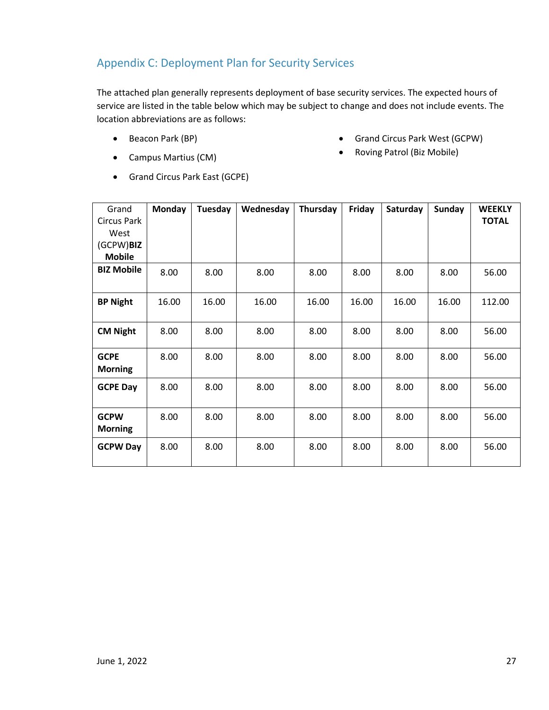# <span id="page-26-0"></span>Appendix C: Deployment Plan for Security Services

The attached plan generally represents deployment of base security services. The expected hours of service are listed in the table below which may be subject to change and does not include events. The location abbreviations are as follows:

• Beacon Park (BP)

• Grand Circus Park West (GCPW)

• Campus Martius (CM)

• Roving Patrol (Biz Mobile)

- 
- 
- Grand Circus Park East (GCPE)

| Grand              | Monday | Tuesday | Wednesday | Thursday | Friday | Saturday | <b>Sunday</b> | <b>WEEKLY</b> |
|--------------------|--------|---------|-----------|----------|--------|----------|---------------|---------------|
| <b>Circus Park</b> |        |         |           |          |        |          |               | <b>TOTAL</b>  |
| West               |        |         |           |          |        |          |               |               |
| (GCPW)BIZ          |        |         |           |          |        |          |               |               |
| <b>Mobile</b>      |        |         |           |          |        |          |               |               |
| <b>BIZ Mobile</b>  | 8.00   | 8.00    | 8.00      | 8.00     | 8.00   | 8.00     | 8.00          | 56.00         |
|                    |        |         |           |          |        |          |               |               |
| <b>BP Night</b>    | 16.00  | 16.00   | 16.00     | 16.00    | 16.00  | 16.00    | 16.00         | 112.00        |
|                    |        |         |           |          |        |          |               |               |
| <b>CM Night</b>    | 8.00   | 8.00    | 8.00      | 8.00     | 8.00   | 8.00     | 8.00          | 56.00         |
|                    |        |         |           |          |        |          |               |               |
| <b>GCPE</b>        | 8.00   | 8.00    | 8.00      | 8.00     | 8.00   | 8.00     | 8.00          | 56.00         |
| <b>Morning</b>     |        |         |           |          |        |          |               |               |
| <b>GCPE Day</b>    | 8.00   | 8.00    | 8.00      | 8.00     | 8.00   | 8.00     | 8.00          | 56.00         |
|                    |        |         |           |          |        |          |               |               |
| <b>GCPW</b>        | 8.00   | 8.00    | 8.00      | 8.00     | 8.00   | 8.00     | 8.00          | 56.00         |
| <b>Morning</b>     |        |         |           |          |        |          |               |               |
| <b>GCPW Day</b>    | 8.00   | 8.00    | 8.00      | 8.00     | 8.00   | 8.00     | 8.00          | 56.00         |
|                    |        |         |           |          |        |          |               |               |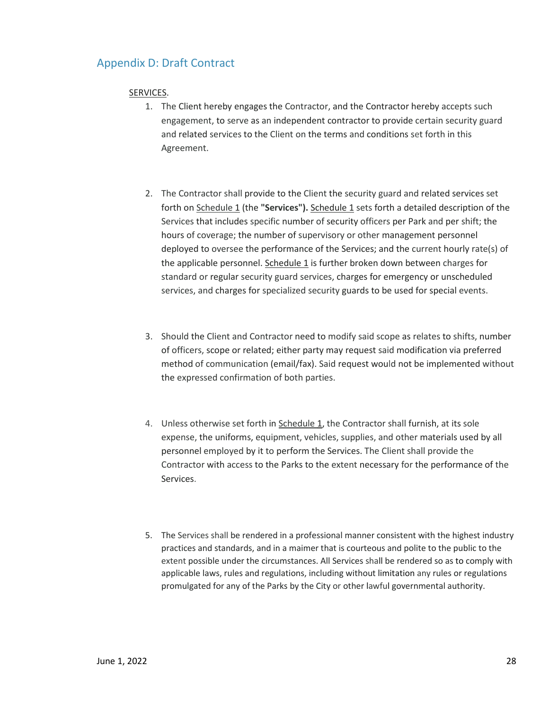# Appendix D: Draft Contract

## SERVICES.

- 1. The Client hereby engages the Contractor, and the Contractor hereby accepts such engagement, to serve as an independent contractor to provide certain security guard and related services to the Client on the terms and conditions set forth in this Agreement.
- 2. The Contractor shall provide to the Client the security guard and related services set forth on Schedule 1 (the **"Services").** Schedule 1 sets forth a detailed description of the Services that includes specific number of security officers per Park and per shift; the hours of coverage; the number of supervisory or other management personnel deployed to oversee the performance of the Services; and the current hourly rate(s) of the applicable personnel. Schedule 1 is further broken down between charges for standard or regular security guard services, charges for emergency or unscheduled services, and charges for specialized security guards to be used for special events.
- 3. Should the Client and Contractor need to modify said scope as relates to shifts, number of officers, scope or related; either party may request said modification via preferred method of communication (email/fax). Said request would not be implemented without the expressed confirmation of both parties.
- 4. Unless otherwise set forth in Schedule 1, the Contractor shall furnish, at its sole expense, the uniforms, equipment, vehicles, supplies, and other materials used by all personnel employed by it to perform the Services. The Client shall provide the Contractor with access to the Parks to the extent necessary for the performance of the Services.
- 5. The Services shall be rendered in a professional manner consistent with the highest industry practices and standards, and in a maimer that is courteous and polite to the public to the extent possible under the circumstances. All Services shall be rendered so as to comply with applicable laws, rules and regulations, including without limitation any rules or regulations promulgated for any of the Parks by the City or other lawful governmental authority.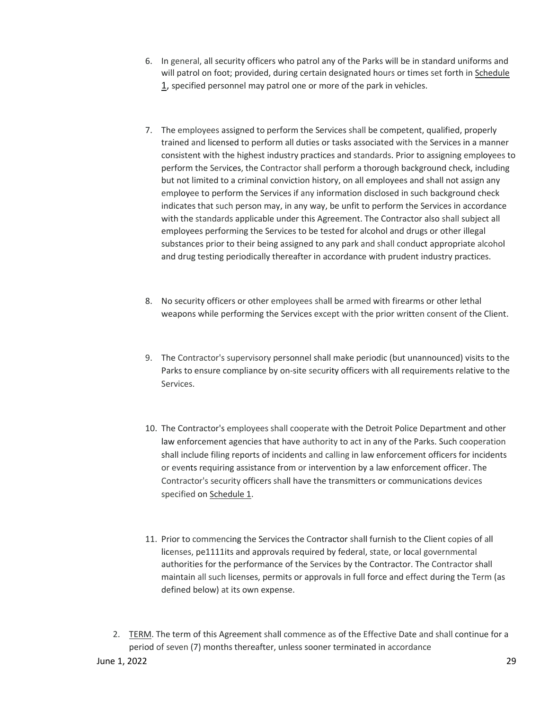- 6. In general, all security officers who patrol any of the Parks will be in standard uniforms and will patrol on foot; provided, during certain designated hours or times set forth in Schedule 1, specified personnel may patrol one or more of the park in vehicles.
- 7. The employees assigned to perform the Services shall be competent, qualified, properly trained and licensed to perform all duties or tasks associated with the Services in a manner consistent with the highest industry practices and standards. Prior to assigning employees to perform the Services, the Contractor shall perform a thorough background check, including but not limited to a criminal conviction history, on all employees and shall not assign any employee to perform the Services if any information disclosed in such background check indicates that such person may, in any way, be unfit to perform the Services in accordance with the standards applicable under this Agreement. The Contractor also shall subject all employees performing the Services to be tested for alcohol and drugs or other illegal substances prior to their being assigned to any park and shall conduct appropriate alcohol and drug testing periodically thereafter in accordance with prudent industry practices.
- 8. No security officers or other employees shall be armed with firearms or other lethal weapons while performing the Services except with the prior written consent of the Client.
- 9. The Contractor's supervisory personnel shall make periodic (but unannounced) visits to the Parks to ensure compliance by on-site security officers with all requirements relative to the Services.
- 10. The Contractor's employees shall cooperate with the Detroit Police Department and other law enforcement agencies that have authority to act in any of the Parks. Such cooperation shall include filing reports of incidents and calling in law enforcement officers for incidents or events requiring assistance from or intervention by a law enforcement officer. The Contractor's security officers shall have the transmitters or communications devices specified on Schedule 1.
- 11. Prior to commencing the Services the Contractor shall furnish to the Client copies of all licenses, pe1111its and approvals required by federal, state, or local governmental authorities for the performance of the Services by the Contractor. The Contractor shall maintain all such licenses, permits or approvals in full force and effect during the Term (as defined below) at its own expense.
- 2. TERM. The term of this Agreement shall commence as of the Effective Date and shall continue for a period of seven (7) months thereafter, unless sooner terminated in accordance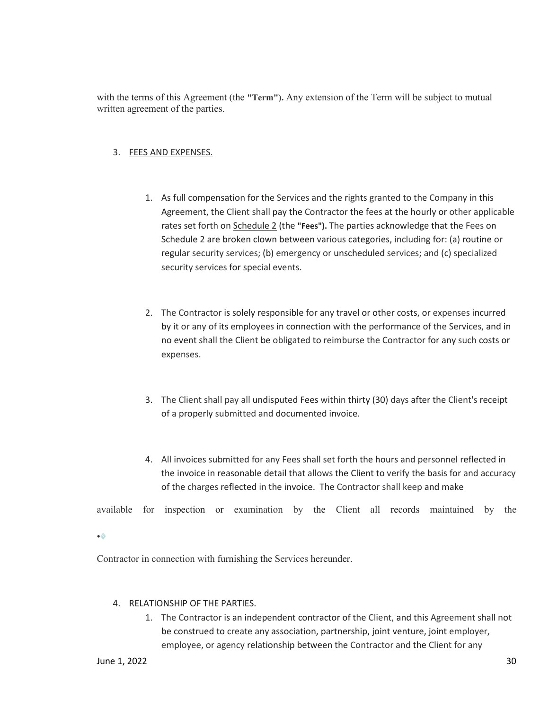with the terms of this Agreement (the **"Term").** Any extension of the Term will be subject to mutual written agreement of the parties.

## 3. FEES AND EXPENSES.

- 1. As full compensation for the Services and the rights granted to the Company in this Agreement, the Client shall pay the Contractor the fees at the hourly or other applicable rates set forth on Schedule 2 (the **"Fees").** The parties acknowledge that the Fees on Schedule 2 are broken clown between various categories, including for: (a) routine or regular security services; (b) emergency or unscheduled services; and (c) specialized security services for special events.
- 2. The Contractor is solely responsible for any travel or other costs, or expenses incurred by it or any of its employees in connection with the performance of the Services, and in no event shall the Client be obligated to reimburse the Contractor for any such costs or expenses.
- 3. The Client shall pay all undisputed Fees within thirty (30) days after the Client's receipt of a properly submitted and documented invoice.
- 4. All invoices submitted for any Fees shall set forth the hours and personnel reflected in the invoice in reasonable detail that allows the Client to verify the basis for and accuracy of the charges reflected in the invoice. The Contractor shall keep and make

available for inspection or examination by the Client all records maintained by the

•�

Contractor in connection with furnishing the Services hereunder.

#### 4. RELATIONSHIP OF THE PARTIES.

1. The Contractor is an independent contractor of the Client, and this Agreement shall not be construed to create any association, partnership, joint venture, joint employer, employee, or agency relationship between the Contractor and the Client for any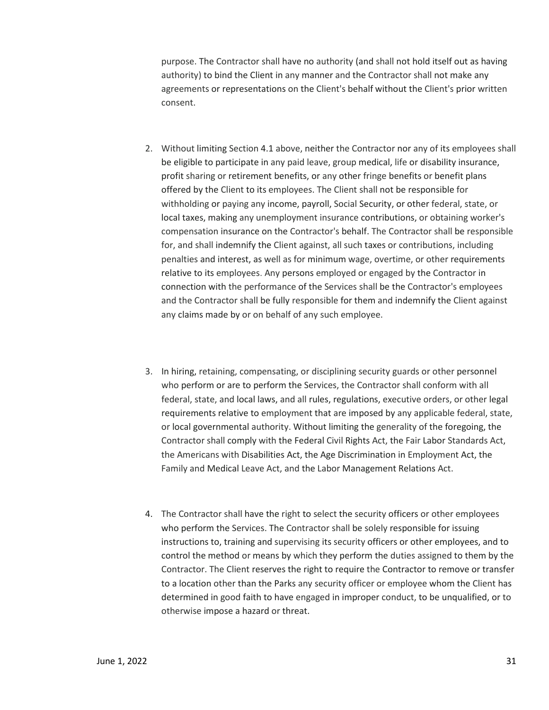purpose. The Contractor shall have no authority (and shall not hold itself out as having authority) to bind the Client in any manner and the Contractor shall not make any agreements or representations on the Client's behalf without the Client's prior written consent.

- 2. Without limiting Section 4.1 above, neither the Contractor nor any of its employees shall be eligible to participate in any paid leave, group medical, life or disability insurance, profit sharing or retirement benefits, or any other fringe benefits or benefit plans offered by the Client to its employees. The Client shall not be responsible for withholding or paying any income, payroll, Social Security, or other federal, state, or local taxes, making any unemployment insurance contributions, or obtaining worker's compensation insurance on the Contractor's behalf. The Contractor shall be responsible for, and shall indemnify the Client against, all such taxes or contributions, including penalties and interest, as well as for minimum wage, overtime, or other requirements relative to its employees. Any persons employed or engaged by the Contractor in connection with the performance of the Services shall be the Contractor's employees and the Contractor shall be fully responsible for them and indemnify the Client against any claims made by or on behalf of any such employee.
- 3. In hiring, retaining, compensating, or disciplining security guards or other personnel who perform or are to perform the Services, the Contractor shall conform with all federal, state, and local laws, and all rules, regulations, executive orders, or other legal requirements relative to employment that are imposed by any applicable federal, state, or local governmental authority. Without limiting the generality of the foregoing, the Contractor shall comply with the Federal Civil Rights Act, the Fair Labor Standards Act, the Americans with Disabilities Act, the Age Discrimination in Employment Act, the Family and Medical Leave Act, and the Labor Management Relations Act.
- 4. The Contractor shall have the right to select the security officers or other employees who perform the Services. The Contractor shall be solely responsible for issuing instructions to, training and supervising its security officers or other employees, and to control the method or means by which they perform the duties assigned to them by the Contractor. The Client reserves the right to require the Contractor to remove or transfer to a location other than the Parks any security officer or employee whom the Client has determined in good faith to have engaged in improper conduct, to be unqualified, or to otherwise impose a hazard or threat.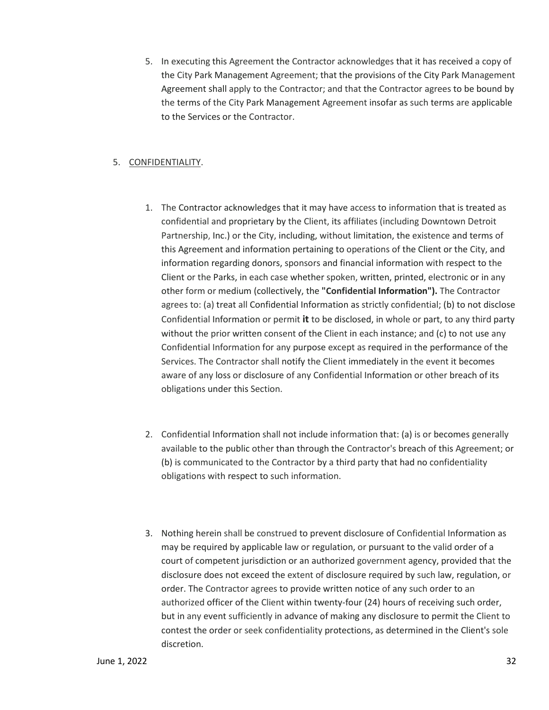5. In executing this Agreement the Contractor acknowledges that it has received a copy of the City Park Management Agreement; that the provisions of the City Park Management Agreement shall apply to the Contractor; and that the Contractor agrees to be bound by the terms of the City Park Management Agreement insofar as such terms are applicable to the Services or the Contractor.

## 5. CONFIDENTIALITY.

- 1. The Contractor acknowledges that it may have access to information that is treated as confidential and proprietary by the Client, its affiliates (including Downtown Detroit Partnership, Inc.) or the City, including, without limitation, the existence and terms of this Agreement and information pertaining to operations of the Client or the City, and information regarding donors, sponsors and financial information with respect to the Client or the Parks, in each case whether spoken, written, printed, electronic or in any other form or medium (collectively, the **"Confidential Information").** The Contractor agrees to: (a) treat all Confidential Information as strictly confidential; (b) to not disclose Confidential Information or permit **it** to be disclosed, in whole or part, to any third party without the prior written consent of the Client in each instance; and (c) to not use any Confidential Information for any purpose except as required in the performance of the Services. The Contractor shall notify the Client immediately in the event it becomes aware of any loss or disclosure of any Confidential Information or other breach of its obligations under this Section.
- 2. Confidential Information shall not include information that: (a) is or becomes generally available to the public other than through the Contractor's breach of this Agreement; or (b) is communicated to the Contractor by a third party that had no confidentiality obligations with respect to such information.
- 3. Nothing herein shall be construed to prevent disclosure of Confidential Information as may be required by applicable law or regulation, or pursuant to the valid order of a court of competent jurisdiction or an authorized government agency, provided that the disclosure does not exceed the extent of disclosure required by such law, regulation, or order. The Contractor agrees to provide written notice of any such order to an authorized officer of the Client within twenty-four (24) hours of receiving such order, but in any event sufficiently in advance of making any disclosure to permit the Client to contest the order or seek confidentiality protections, as determined in the Client's sole discretion.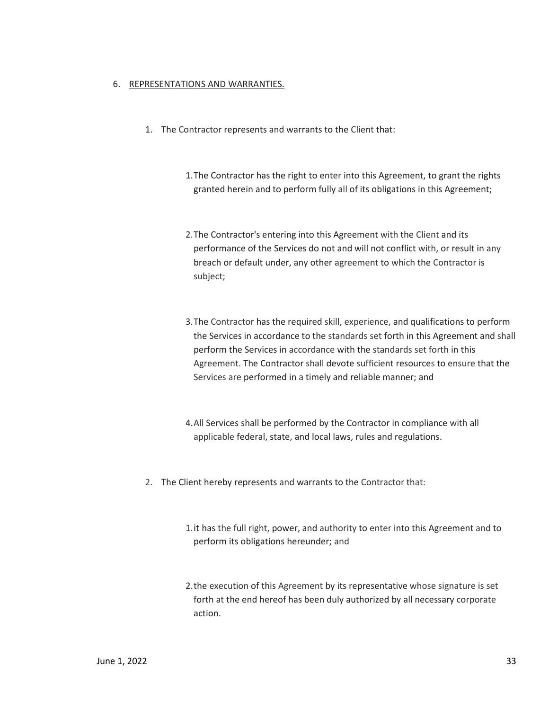#### 6. REPRESENTATIONS AND WARRANTIES.

- 1. The Contractor represents and warrants to the Client that:
	- 1.The Contractor has the right to enter into this Agreement, to grant the rights granted herein and to perform fully all of its obligations in this Agreement;
	- 2.The Contractor's entering into this Agreement with the Client and its performance of the Services do not and will not conflict with, or result in any breach or default under, any other agreement to which the Contractor is subject;
	- 3.The Contractor has the required skill, experience, and qualifications to perform the Services in accordance to the standards set forth in this Agreement and shall perform the Services in accordance with the standards set forth in this Agreement. The Contractor shall devote sufficient resources to ensure that the Services are performed in a timely and reliable manner; and
	- 4.All Services shall be performed by the Contractor in compliance with all applicable federal, state, and local laws, rules and regulations.
- 2. The Client hereby represents and warrants to the Contractor that:
	- 1.it has the full right, power, and authority to enter into this Agreement and to perform its obligations hereunder; and
	- 2.the execution of this Agreement by its representative whose signature is set forth at the end hereof has been duly authorized by all necessary corporate action.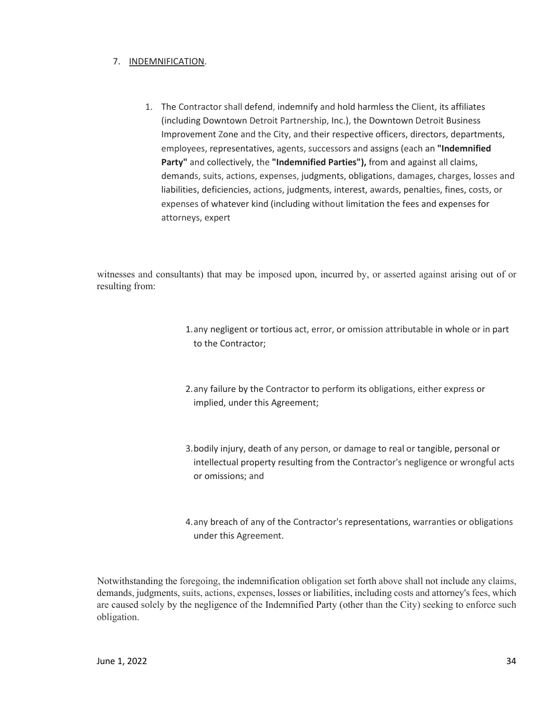## 7. INDEMNIFICATION.

1. The Contractor shall defend, indemnify and hold harmless the Client, its affiliates (including Downtown Detroit Partnership, Inc.), the Downtown Detroit Business Improvement Zone and the City, and their respective officers, directors, departments, employees, representatives, agents, successors and assigns (each an **"Indemnified Party"** and collectively, the **"Indemnified Parties"),** from and against all claims, demands, suits, actions, expenses, judgments, obligations, damages, charges, losses and liabilities, deficiencies, actions, judgments, interest, awards, penalties, fines, costs, or expenses of whatever kind (including without limitation the fees and expenses for attorneys, expert

witnesses and consultants) that may be imposed upon, incurred by, or asserted against arising out of or resulting from:

- 1.any negligent or tortious act, error, or omission attributable in whole or in part to the Contractor;
- 2.any failure by the Contractor to perform its obligations, either express or implied, under this Agreement;
- 3.bodily injury, death of any person, or damage to real or tangible, personal or intellectual property resulting from the Contractor's negligence or wrongful acts or omissions; and
- 4.any breach of any of the Contractor's representations, warranties or obligations under this Agreement.

Notwithstanding the foregoing, the indemnification obligation set forth above shall not include any claims, demands, judgments, suits, actions, expenses, losses or liabilities, including costs and attorney's fees, which are caused solely by the negligence of the Indemnified Party (other than the City) seeking to enforce such obligation.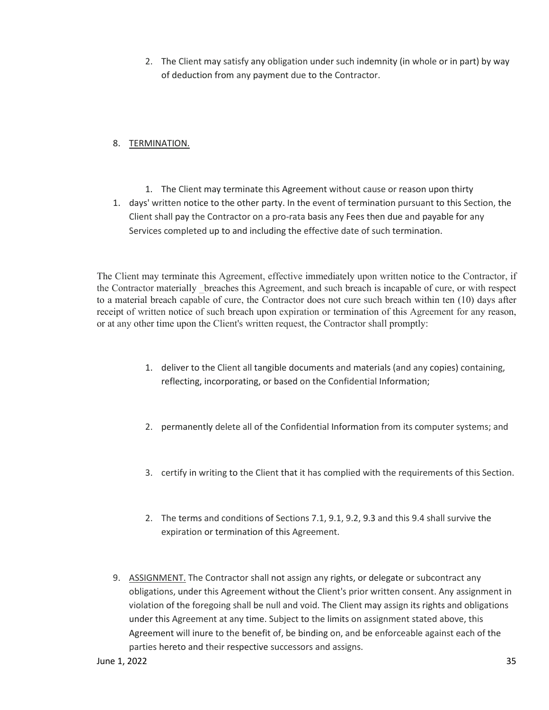2. The Client may satisfy any obligation under such indemnity (in whole or in part) by way of deduction from any payment due to the Contractor.

## 8. TERMINATION.

- 1. The Client may terminate this Agreement without cause or reason upon thirty
- 1. days' written notice to the other party. In the event of termination pursuant to this Section, the Client shall pay the Contractor on a pro-rata basis any Fees then due and payable for any Services completed up to and including the effective date of such termination.

The Client may terminate this Agreement, effective immediately upon written notice to the Contractor, if the Contractor materially \_breaches this Agreement, and such breach is incapable of cure, or with respect to a material breach capable of cure, the Contractor does not cure such breach within ten (10) days after receipt of written notice of such breach upon expiration or termination of this Agreement for any reason, or at any other time upon the Client's written request, the Contractor shall promptly:

- 1. deliver to the Client all tangible documents and materials (and any copies) containing, reflecting, incorporating, or based on the Confidential Information;
- 2. permanently delete all of the Confidential Information from its computer systems; and
- 3. certify in writing to the Client that it has complied with the requirements of this Section.
- 2. The terms and conditions of Sections 7.1, 9.1, 9.2, 9.3 and this 9.4 shall survive the expiration or termination of this Agreement.
- 9. ASSIGNMENT. The Contractor shall not assign any rights, or delegate or subcontract any obligations, under this Agreement without the Client's prior written consent. Any assignment in violation of the foregoing shall be null and void. The Client may assign its rights and obligations under this Agreement at any time. Subject to the limits on assignment stated above, this Agreement will inure to the benefit of, be binding on, and be enforceable against each of the parties hereto and their respective successors and assigns.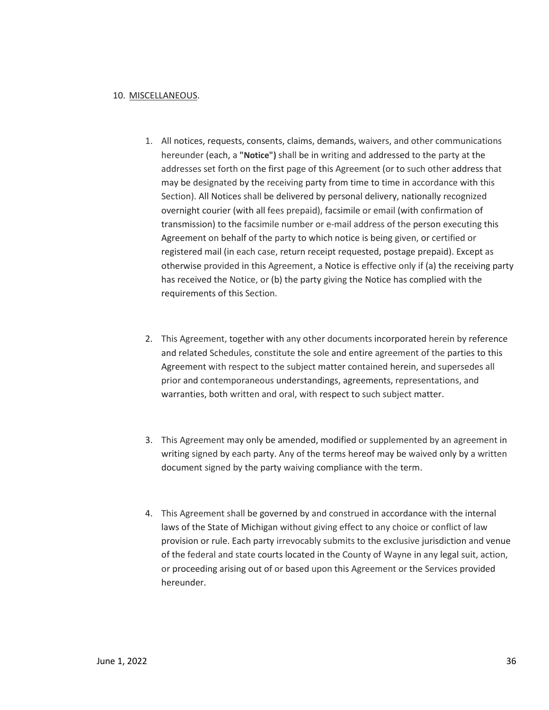#### 10. MISCELLANEOUS.

- 1. All notices, requests, consents, claims, demands, waivers, and other communications hereunder (each, a **"Notice")** shall be in writing and addressed to the party at the addresses set forth on the first page of this Agreement (or to such other address that may be designated by the receiving party from time to time in accordance with this Section). All Notices shall be delivered by personal delivery, nationally recognized overnight courier (with all fees prepaid), facsimile or email (with confirmation of transmission) to the facsimile number or e-mail address of the person executing this Agreement on behalf of the party to which notice is being given, or certified or registered mail (in each case, return receipt requested, postage prepaid). Except as otherwise provided in this Agreement, a Notice is effective only if (a) the receiving party has received the Notice, or (b) the party giving the Notice has complied with the requirements of this Section.
- 2. This Agreement, together with any other documents incorporated herein by reference and related Schedules, constitute the sole and entire agreement of the parties to this Agreement with respect to the subject matter contained herein, and supersedes all prior and contemporaneous understandings, agreements, representations, and warranties, both written and oral, with respect to such subject matter.
- 3. This Agreement may only be amended, modified or supplemented by an agreement in writing signed by each party. Any of the terms hereof may be waived only by a written document signed by the party waiving compliance with the term.
- 4. This Agreement shall be governed by and construed in accordance with the internal laws of the State of Michigan without giving effect to any choice or conflict of law provision or rule. Each party irrevocably submits to the exclusive jurisdiction and venue of the federal and state courts located in the County of Wayne in any legal suit, action, or proceeding arising out of or based upon this Agreement or the Services provided hereunder.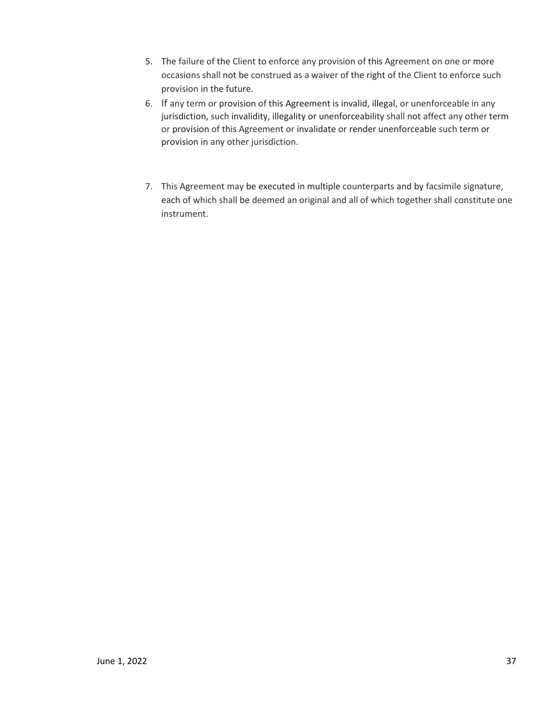- 5. The failure of the Client to enforce any provision of this Agreement on one or more occasions shall not be construed as a waiver of the right of the Client to enforce such provision in the future.
- 6. If any term or provision of this Agreement is invalid, illegal, or unenforceable in any jurisdiction, such invalidity, illegality or unenforceability shall not affect any other term or provision of this Agreement or invalidate or render unenforceable such term or provision in any other jurisdiction.
- 7. This Agreement may be executed in multiple counterparts and by facsimile signature, each of which shall be deemed an original and all of which together shall constitute one instrument.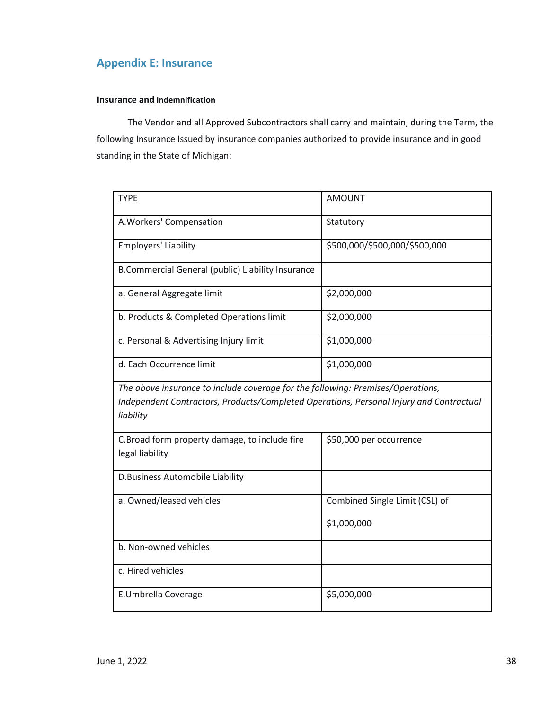# **Appendix E: Insurance**

#### **Insurance and Indemnification**

The Vendor and all Approved Subcontractors shall carry and maintain, during the Term, the following Insurance Issued by insurance companies authorized to provide insurance and in good standing in the State of Michigan:

| <b>TYPE</b>                                                                                                                                                                             | <b>AMOUNT</b>                  |
|-----------------------------------------------------------------------------------------------------------------------------------------------------------------------------------------|--------------------------------|
| A. Workers' Compensation                                                                                                                                                                | Statutory                      |
| Employers' Liability                                                                                                                                                                    | \$500,000/\$500,000/\$500,000  |
| B.Commercial General (public) Liability Insurance                                                                                                                                       |                                |
| a. General Aggregate limit                                                                                                                                                              | \$2,000,000                    |
| b. Products & Completed Operations limit                                                                                                                                                | \$2,000,000                    |
| c. Personal & Advertising Injury limit                                                                                                                                                  | \$1,000,000                    |
| d. Each Occurrence limit                                                                                                                                                                | \$1,000,000                    |
| The above insurance to include coverage for the following: Premises/Operations,<br>Independent Contractors, Products/Completed Operations, Personal Injury and Contractual<br>liability |                                |
| C.Broad form property damage, to include fire<br>legal liability                                                                                                                        | \$50,000 per occurrence        |
| D.Business Automobile Liability                                                                                                                                                         |                                |
| a. Owned/leased vehicles                                                                                                                                                                | Combined Single Limit (CSL) of |
|                                                                                                                                                                                         | \$1,000,000                    |
| b. Non-owned vehicles                                                                                                                                                                   |                                |
| c. Hired vehicles                                                                                                                                                                       |                                |
| E.Umbrella Coverage                                                                                                                                                                     | \$5,000,000                    |